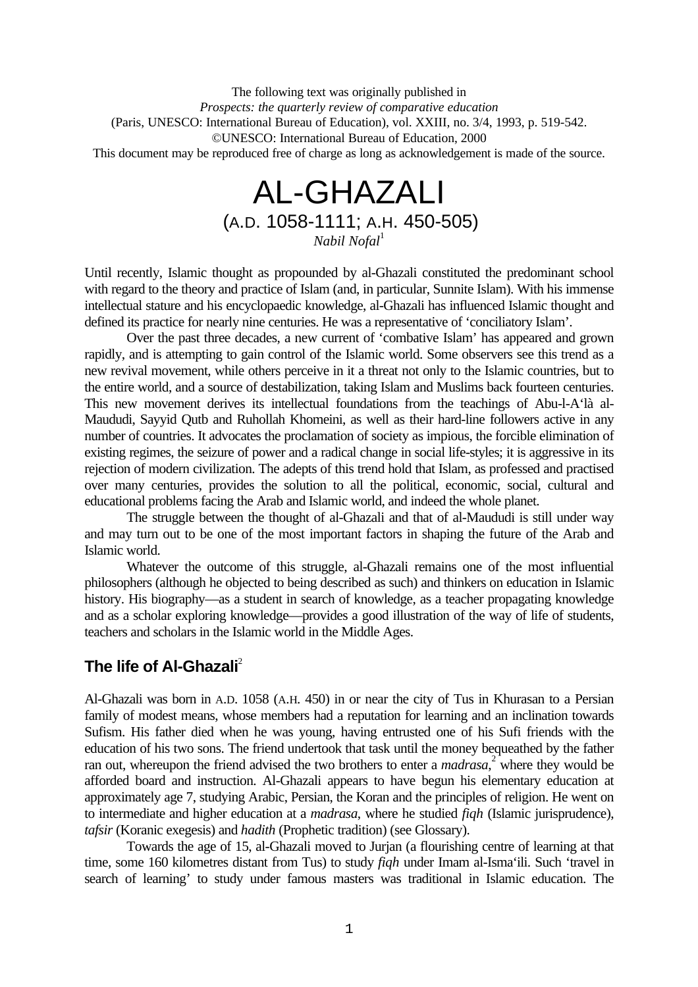The following text was originally published in *Prospects: the quarterly review of comparative education* (Paris, UNESCO: International Bureau of Education), vol. XXIII, no. 3/4, 1993, p. 519-542. ©UNESCO: International Bureau of Education, 2000 This document may be reproduced free of charge as long as acknowledgement is made of the source.

# AL-GHAZALI (A.D. 1058-1111; A.H. 450-505)

*Nabil Nofal*<sup>1</sup>

Until recently, Islamic thought as propounded by al-Ghazali constituted the predominant school with regard to the theory and practice of Islam (and, in particular, Sunnite Islam). With his immense intellectual stature and his encyclopaedic knowledge, al-Ghazali has influenced Islamic thought and defined its practice for nearly nine centuries. He was a representative of 'conciliatory Islam'.

Over the past three decades, a new current of 'combative Islam' has appeared and grown rapidly, and is attempting to gain control of the Islamic world. Some observers see this trend as a new revival movement, while others perceive in it a threat not only to the Islamic countries, but to the entire world, and a source of destabilization, taking Islam and Muslims back fourteen centuries. This new movement derives its intellectual foundations from the teachings of Abu-l-A'là al-Maududi, Sayyid Qutb and Ruhollah Khomeini, as well as their hard-line followers active in any number of countries. It advocates the proclamation of society as impious, the forcible elimination of existing regimes, the seizure of power and a radical change in social life-styles; it is aggressive in its rejection of modern civilization. The adepts of this trend hold that Islam, as professed and practised over many centuries, provides the solution to all the political, economic, social, cultural and educational problems facing the Arab and Islamic world, and indeed the whole planet.

The struggle between the thought of al-Ghazali and that of al-Maududi is still under way and may turn out to be one of the most important factors in shaping the future of the Arab and Islamic world.

Whatever the outcome of this struggle, al-Ghazali remains one of the most influential philosophers (although he objected to being described as such) and thinkers on education in Islamic history. His biography—as a student in search of knowledge, as a teacher propagating knowledge and as a scholar exploring knowledge—provides a good illustration of the way of life of students, teachers and scholars in the Islamic world in the Middle Ages.

# **The life of Al-Ghazali**<sup>2</sup>

Al-Ghazali was born in A.D. 1058 (A.H. 450) in or near the city of Tus in Khurasan to a Persian family of modest means, whose members had a reputation for learning and an inclination towards Sufism. His father died when he was young, having entrusted one of his Sufi friends with the education of his two sons. The friend undertook that task until the money bequeathed by the father ran out, whereupon the friend advised the two brothers to enter a *madrasa*,<sup>2</sup> where they would be afforded board and instruction. Al-Ghazali appears to have begun his elementary education at approximately age 7, studying Arabic, Persian, the Koran and the principles of religion. He went on to intermediate and higher education at a *madrasa*, where he studied *fiqh* (Islamic jurisprudence), *tafsir* (Koranic exegesis) and *hadith* (Prophetic tradition) (see Glossary).

Towards the age of 15, al-Ghazali moved to Jurjan (a flourishing centre of learning at that time, some 160 kilometres distant from Tus) to study *fiqh* under Imam al-Isma'ili. Such 'travel in search of learning' to study under famous masters was traditional in Islamic education. The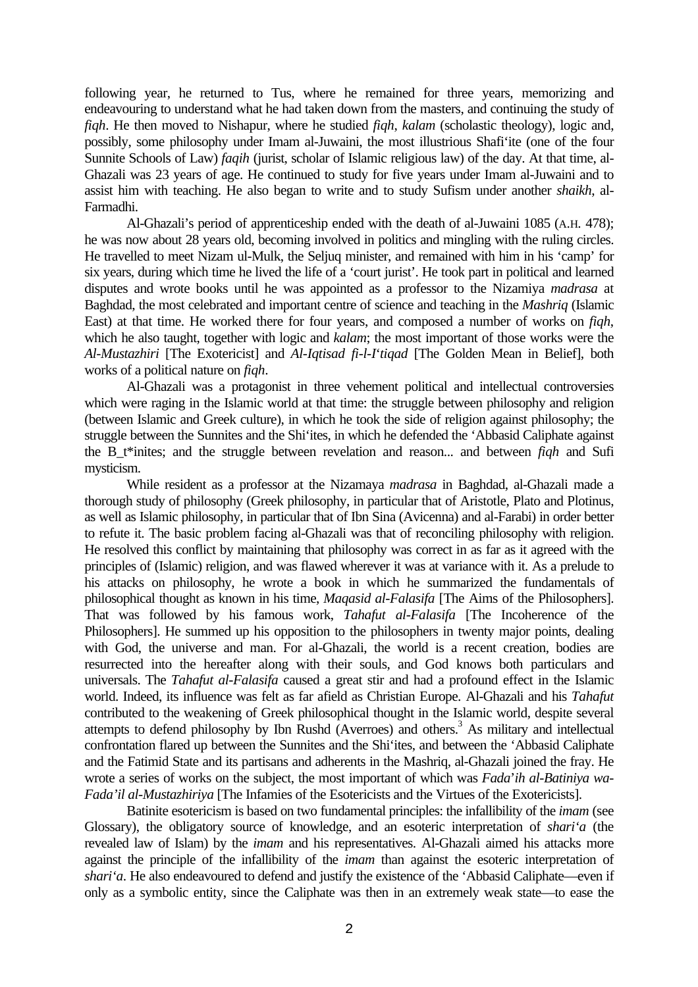following year, he returned to Tus, where he remained for three years, memorizing and endeavouring to understand what he had taken down from the masters, and continuing the study of *fiqh*. He then moved to Nishapur, where he studied *fiqh*, *kalam* (scholastic theology), logic and, possibly, some philosophy under Imam al-Juwaini, the most illustrious Shafi'ite (one of the four Sunnite Schools of Law) *faqih* (jurist, scholar of Islamic religious law) of the day. At that time, al-Ghazali was 23 years of age. He continued to study for five years under Imam al-Juwaini and to assist him with teaching. He also began to write and to study Sufism under another *shaikh*, al-Farmadhi.

Al-Ghazali's period of apprenticeship ended with the death of al-Juwaini 1085 (A.H. 478); he was now about 28 years old, becoming involved in politics and mingling with the ruling circles. He travelled to meet Nizam ul-Mulk, the Seljuq minister, and remained with him in his 'camp' for six years, during which time he lived the life of a 'court jurist'. He took part in political and learned disputes and wrote books until he was appointed as a professor to the Nizamiya *madrasa* at Baghdad, the most celebrated and important centre of science and teaching in the *Mashriq* (Islamic East) at that time. He worked there for four years, and composed a number of works on *fiqh*, which he also taught, together with logic and *kalam*; the most important of those works were the *Al-Mustazhiri* [The Exotericist] and *Al-Iqtisad fi-l-I*'*tiqad* [The Golden Mean in Belief], both works of a political nature on *fiqh*.

Al-Ghazali was a protagonist in three vehement political and intellectual controversies which were raging in the Islamic world at that time: the struggle between philosophy and religion (between Islamic and Greek culture), in which he took the side of religion against philosophy; the struggle between the Sunnites and the Shi'ites, in which he defended the 'Abbasid Caliphate against the B\_t\*inites; and the struggle between revelation and reason... and between *fiqh* and Sufi mysticism.

While resident as a professor at the Nizamaya *madrasa* in Baghdad, al-Ghazali made a thorough study of philosophy (Greek philosophy, in particular that of Aristotle, Plato and Plotinus, as well as Islamic philosophy, in particular that of Ibn Sina (Avicenna) and al-Farabi) in order better to refute it. The basic problem facing al-Ghazali was that of reconciling philosophy with religion. He resolved this conflict by maintaining that philosophy was correct in as far as it agreed with the principles of (Islamic) religion, and was flawed wherever it was at variance with it. As a prelude to his attacks on philosophy, he wrote a book in which he summarized the fundamentals of philosophical thought as known in his time, *Maqasid al-Falasifa* [The Aims of the Philosophers]. That was followed by his famous work, *Tahafut al-Falasifa* [The Incoherence of the Philosophers]. He summed up his opposition to the philosophers in twenty major points, dealing with God, the universe and man. For al-Ghazali, the world is a recent creation, bodies are resurrected into the hereafter along with their souls, and God knows both particulars and universals. The *Tahafut al-Falasifa* caused a great stir and had a profound effect in the Islamic world. Indeed, its influence was felt as far afield as Christian Europe. Al-Ghazali and his *Tahafut* contributed to the weakening of Greek philosophical thought in the Islamic world, despite several attempts to defend philosophy by Ibn Rushd (Averroes) and others.<sup>3</sup> As military and intellectual confrontation flared up between the Sunnites and the Shi'ites, and between the 'Abbasid Caliphate and the Fatimid State and its partisans and adherents in the Mashriq, al-Ghazali joined the fray. He wrote a series of works on the subject, the most important of which was *Fada*'*ih al-Batiniya wa-Fada'il al-Mustazhiriya* [The Infamies of the Esotericists and the Virtues of the Exotericists].

Batinite esotericism is based on two fundamental principles: the infallibility of the *imam* (see Glossary), the obligatory source of knowledge, and an esoteric interpretation of *shari'a* (the revealed law of Islam) by the *imam* and his representatives. Al-Ghazali aimed his attacks more against the principle of the infallibility of the *imam* than against the esoteric interpretation of *shari'a*. He also endeavoured to defend and justify the existence of the 'Abbasid Caliphate—even if only as a symbolic entity, since the Caliphate was then in an extremely weak state—to ease the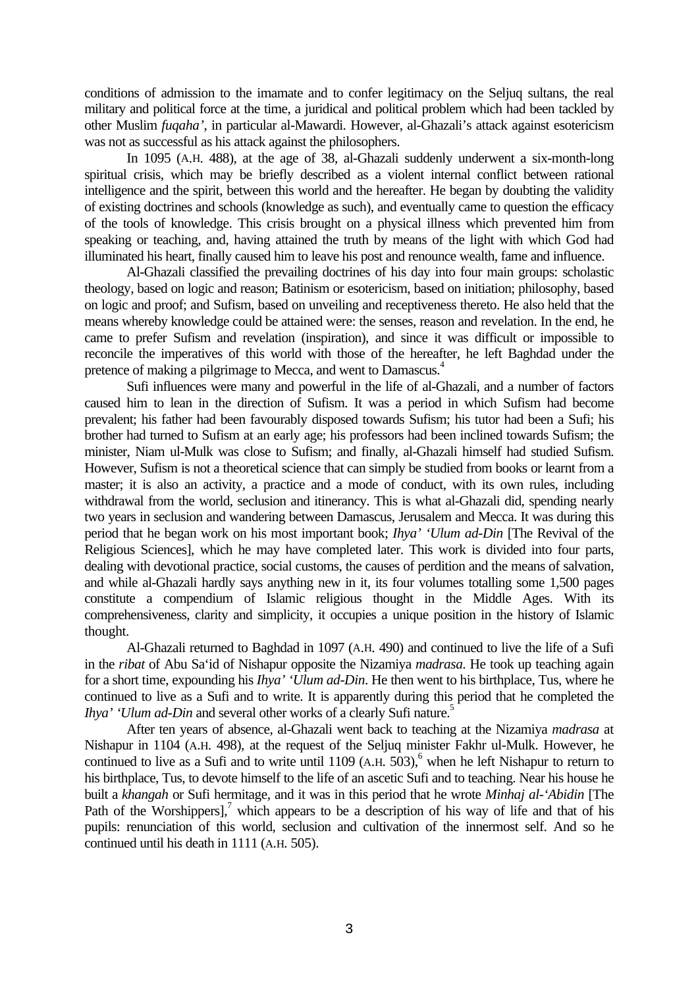conditions of admission to the imamate and to confer legitimacy on the Seljuq sultans, the real military and political force at the time, a juridical and political problem which had been tackled by other Muslim *fuqaha'*, in particular al-Mawardi. However, al-Ghazali's attack against esotericism was not as successful as his attack against the philosophers.

In 1095 (A.H. 488), at the age of 38, al-Ghazali suddenly underwent a six-month-long spiritual crisis, which may be briefly described as a violent internal conflict between rational intelligence and the spirit, between this world and the hereafter. He began by doubting the validity of existing doctrines and schools (knowledge as such), and eventually came to question the efficacy of the tools of knowledge. This crisis brought on a physical illness which prevented him from speaking or teaching, and, having attained the truth by means of the light with which God had illuminated his heart, finally caused him to leave his post and renounce wealth, fame and influence.

Al-Ghazali classified the prevailing doctrines of his day into four main groups: scholastic theology, based on logic and reason; Batinism or esotericism, based on initiation; philosophy, based on logic and proof; and Sufism, based on unveiling and receptiveness thereto. He also held that the means whereby knowledge could be attained were: the senses, reason and revelation. In the end, he came to prefer Sufism and revelation (inspiration), and since it was difficult or impossible to reconcile the imperatives of this world with those of the hereafter, he left Baghdad under the pretence of making a pilgrimage to Mecca, and went to Damascus.<sup>4</sup>

Sufi influences were many and powerful in the life of al-Ghazali, and a number of factors caused him to lean in the direction of Sufism. It was a period in which Sufism had become prevalent; his father had been favourably disposed towards Sufism; his tutor had been a Sufi; his brother had turned to Sufism at an early age; his professors had been inclined towards Sufism; the minister, Niam ul-Mulk was close to Sufism; and finally, al-Ghazali himself had studied Sufism. However, Sufism is not a theoretical science that can simply be studied from books or learnt from a master; it is also an activity, a practice and a mode of conduct, with its own rules, including withdrawal from the world, seclusion and itinerancy. This is what al-Ghazali did, spending nearly two years in seclusion and wandering between Damascus, Jerusalem and Mecca. It was during this period that he began work on his most important book; *Ihya' 'Ulum ad-Din* [The Revival of the Religious Sciences], which he may have completed later. This work is divided into four parts, dealing with devotional practice, social customs, the causes of perdition and the means of salvation, and while al-Ghazali hardly says anything new in it, its four volumes totalling some 1,500 pages constitute a compendium of Islamic religious thought in the Middle Ages. With its comprehensiveness, clarity and simplicity, it occupies a unique position in the history of Islamic thought.

Al-Ghazali returned to Baghdad in 1097 (A.H. 490) and continued to live the life of a Sufi in the *ribat* of Abu Sa'id of Nishapur opposite the Nizamiya *madrasa*. He took up teaching again for a short time, expounding his *Ihya' 'Ulum ad-Din*. He then went to his birthplace, Tus, where he continued to live as a Sufi and to write. It is apparently during this period that he completed the *Ihya' 'Ulum ad-Din* and several other works of a clearly Sufi nature.<sup>5</sup>

After ten years of absence, al-Ghazali went back to teaching at the Nizamiya *madrasa* at Nishapur in 1104 (A.H. 498), at the request of the Seljuq minister Fakhr ul-Mulk. However, he continued to live as a Sufi and to write until  $1109$  (A.H.  $503$ ), when he left Nishapur to return to his birthplace, Tus, to devote himself to the life of an ascetic Sufi and to teaching. Near his house he built a *khangah* or Sufi hermitage, and it was in this period that he wrote *Minhaj al-'Abidin* [The Path of the Worshippers],<sup>7</sup> which appears to be a description of his way of life and that of his pupils: renunciation of this world, seclusion and cultivation of the innermost self. And so he continued until his death in 1111 (A.H. 505).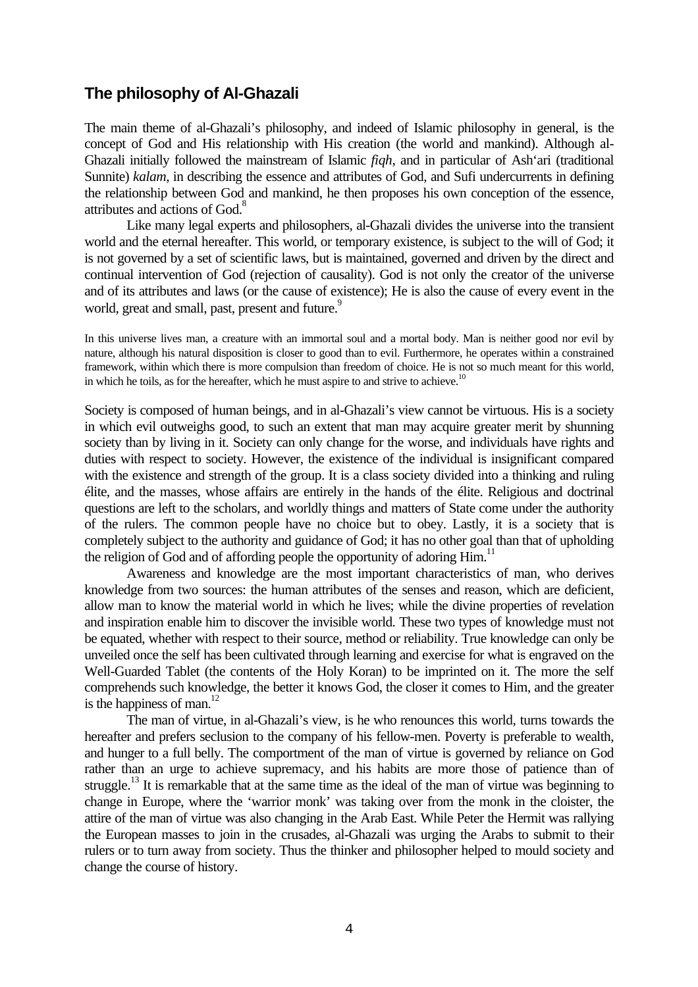## **The philosophy of Al-Ghazali**

The main theme of al-Ghazali's philosophy, and indeed of Islamic philosophy in general, is the concept of God and His relationship with His creation (the world and mankind). Although al-Ghazali initially followed the mainstream of Islamic *fiqh*, and in particular of Ash'ari (traditional Sunnite) *kalam*, in describing the essence and attributes of God, and Sufi undercurrents in defining the relationship between God and mankind, he then proposes his own conception of the essence, attributes and actions of God.<sup>8</sup>

Like many legal experts and philosophers, al-Ghazali divides the universe into the transient world and the eternal hereafter. This world, or temporary existence, is subject to the will of God; it is not governed by a set of scientific laws, but is maintained, governed and driven by the direct and continual intervention of God (rejection of causality). God is not only the creator of the universe and of its attributes and laws (or the cause of existence); He is also the cause of every event in the world, great and small, past, present and future.<sup>9</sup>

In this universe lives man, a creature with an immortal soul and a mortal body. Man is neither good nor evil by nature, although his natural disposition is closer to good than to evil. Furthermore, he operates within a constrained framework, within which there is more compulsion than freedom of choice. He is not so much meant for this world, in which he toils, as for the hereafter, which he must aspire to and strive to achieve.<sup>10</sup>

Society is composed of human beings, and in al-Ghazali's view cannot be virtuous. His is a society in which evil outweighs good, to such an extent that man may acquire greater merit by shunning society than by living in it. Society can only change for the worse, and individuals have rights and duties with respect to society. However, the existence of the individual is insignificant compared with the existence and strength of the group. It is a class society divided into a thinking and ruling élite, and the masses, whose affairs are entirely in the hands of the élite. Religious and doctrinal questions are left to the scholars, and worldly things and matters of State come under the authority of the rulers. The common people have no choice but to obey. Lastly, it is a society that is completely subject to the authority and guidance of God; it has no other goal than that of upholding the religion of God and of affording people the opportunity of adoring Him.<sup>11</sup>

Awareness and knowledge are the most important characteristics of man, who derives knowledge from two sources: the human attributes of the senses and reason, which are deficient, allow man to know the material world in which he lives; while the divine properties of revelation and inspiration enable him to discover the invisible world. These two types of knowledge must not be equated, whether with respect to their source, method or reliability. True knowledge can only be unveiled once the self has been cultivated through learning and exercise for what is engraved on the Well-Guarded Tablet (the contents of the Holy Koran) to be imprinted on it. The more the self comprehends such knowledge, the better it knows God, the closer it comes to Him, and the greater is the happiness of man. $^{12}$ 

The man of virtue, in al-Ghazali's view, is he who renounces this world, turns towards the hereafter and prefers seclusion to the company of his fellow-men. Poverty is preferable to wealth, and hunger to a full belly. The comportment of the man of virtue is governed by reliance on God rather than an urge to achieve supremacy, and his habits are more those of patience than of struggle.<sup>13</sup> It is remarkable that at the same time as the ideal of the man of virtue was beginning to change in Europe, where the 'warrior monk' was taking over from the monk in the cloister, the attire of the man of virtue was also changing in the Arab East. While Peter the Hermit was rallying the European masses to join in the crusades, al-Ghazali was urging the Arabs to submit to their rulers or to turn away from society. Thus the thinker and philosopher helped to mould society and change the course of history.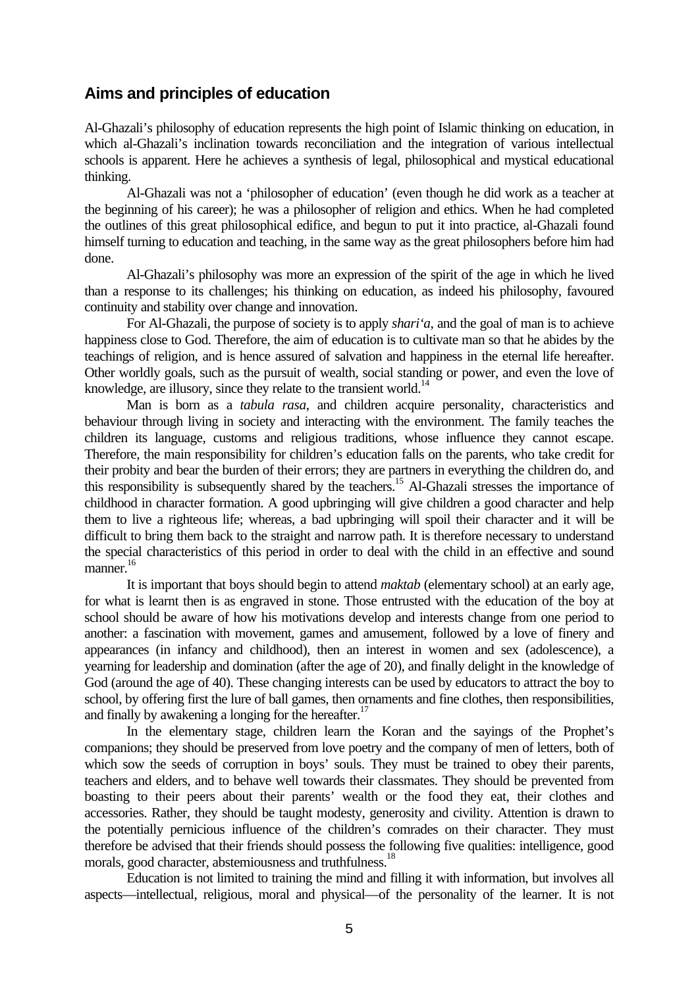### **Aims and principles of education**

Al-Ghazali's philosophy of education represents the high point of Islamic thinking on education, in which al-Ghazali's inclination towards reconciliation and the integration of various intellectual schools is apparent. Here he achieves a synthesis of legal, philosophical and mystical educational thinking.

Al-Ghazali was not a 'philosopher of education' (even though he did work as a teacher at the beginning of his career); he was a philosopher of religion and ethics. When he had completed the outlines of this great philosophical edifice, and begun to put it into practice, al-Ghazali found himself turning to education and teaching, in the same way as the great philosophers before him had done.

Al-Ghazali's philosophy was more an expression of the spirit of the age in which he lived than a response to its challenges; his thinking on education, as indeed his philosophy, favoured continuity and stability over change and innovation.

For Al-Ghazali, the purpose of society is to apply *shari'a*, and the goal of man is to achieve happiness close to God. Therefore, the aim of education is to cultivate man so that he abides by the teachings of religion, and is hence assured of salvation and happiness in the eternal life hereafter. Other worldly goals, such as the pursuit of wealth, social standing or power, and even the love of knowledge, are illusory, since they relate to the transient world.<sup>14</sup>

Man is born as a *tabula rasa*, and children acquire personality, characteristics and behaviour through living in society and interacting with the environment. The family teaches the children its language, customs and religious traditions, whose influence they cannot escape. Therefore, the main responsibility for children's education falls on the parents, who take credit for their probity and bear the burden of their errors; they are partners in everything the children do, and this responsibility is subsequently shared by the teachers.<sup>15</sup> Al-Ghazali stresses the importance of childhood in character formation. A good upbringing will give children a good character and help them to live a righteous life; whereas, a bad upbringing will spoil their character and it will be difficult to bring them back to the straight and narrow path. It is therefore necessary to understand the special characteristics of this period in order to deal with the child in an effective and sound manner.<sup>16</sup>

It is important that boys should begin to attend *maktab* (elementary school) at an early age, for what is learnt then is as engraved in stone. Those entrusted with the education of the boy at school should be aware of how his motivations develop and interests change from one period to another: a fascination with movement, games and amusement, followed by a love of finery and appearances (in infancy and childhood), then an interest in women and sex (adolescence), a yearning for leadership and domination (after the age of 20), and finally delight in the knowledge of God (around the age of 40). These changing interests can be used by educators to attract the boy to school, by offering first the lure of ball games, then ornaments and fine clothes, then responsibilities, and finally by awakening a longing for the hereafter.<sup>17</sup>

In the elementary stage, children learn the Koran and the sayings of the Prophet's companions; they should be preserved from love poetry and the company of men of letters, both of which sow the seeds of corruption in boys' souls. They must be trained to obey their parents, teachers and elders, and to behave well towards their classmates. They should be prevented from boasting to their peers about their parents' wealth or the food they eat, their clothes and accessories. Rather, they should be taught modesty, generosity and civility. Attention is drawn to the potentially pernicious influence of the children's comrades on their character. They must therefore be advised that their friends should possess the following five qualities: intelligence, good morals, good character, abstemiousness and truthfulness.<sup>18</sup>

Education is not limited to training the mind and filling it with information, but involves all aspects—intellectual, religious, moral and physical—of the personality of the learner. It is not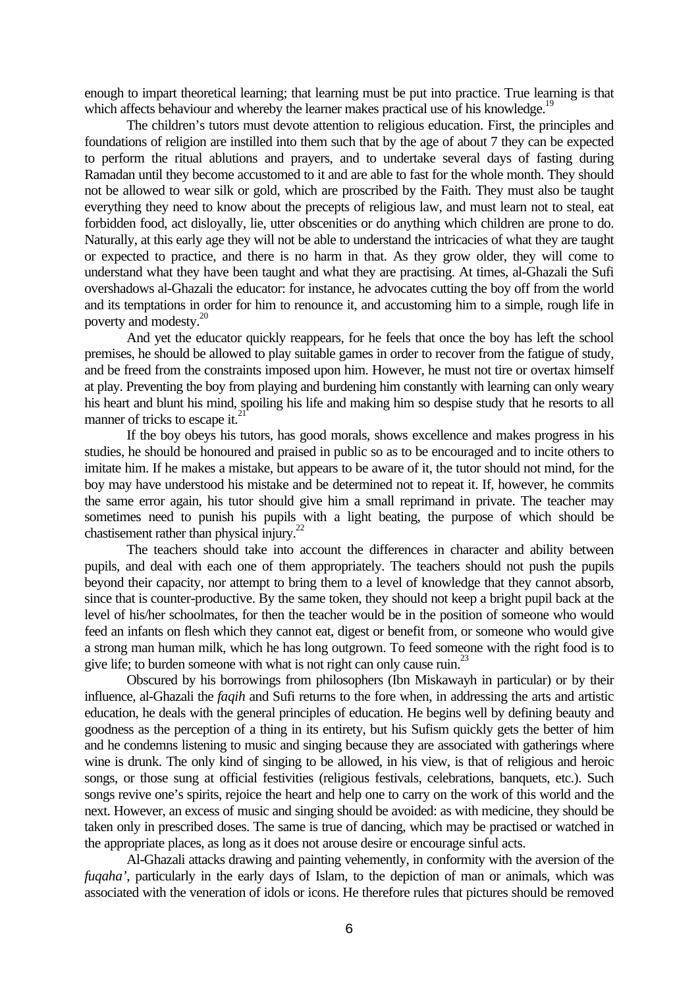enough to impart theoretical learning; that learning must be put into practice. True learning is that which affects behaviour and whereby the learner makes practical use of his knowledge.<sup>19</sup>

The children's tutors must devote attention to religious education. First, the principles and foundations of religion are instilled into them such that by the age of about 7 they can be expected to perform the ritual ablutions and prayers, and to undertake several days of fasting during Ramadan until they become accustomed to it and are able to fast for the whole month. They should not be allowed to wear silk or gold, which are proscribed by the Faith. They must also be taught everything they need to know about the precepts of religious law, and must learn not to steal, eat forbidden food, act disloyally, lie, utter obscenities or do anything which children are prone to do. Naturally, at this early age they will not be able to understand the intricacies of what they are taught or expected to practice, and there is no harm in that. As they grow older, they will come to understand what they have been taught and what they are practising. At times, al-Ghazali the Sufi overshadows al-Ghazali the educator: for instance, he advocates cutting the boy off from the world and its temptations in order for him to renounce it, and accustoming him to a simple, rough life in poverty and modesty.<sup>20</sup>

And yet the educator quickly reappears, for he feels that once the boy has left the school premises, he should be allowed to play suitable games in order to recover from the fatigue of study, and be freed from the constraints imposed upon him. However, he must not tire or overtax himself at play. Preventing the boy from playing and burdening him constantly with learning can only weary his heart and blunt his mind, spoiling his life and making him so despise study that he resorts to all manner of tricks to escape it.<sup>2</sup>

If the boy obeys his tutors, has good morals, shows excellence and makes progress in his studies, he should be honoured and praised in public so as to be encouraged and to incite others to imitate him. If he makes a mistake, but appears to be aware of it, the tutor should not mind, for the boy may have understood his mistake and be determined not to repeat it. If, however, he commits the same error again, his tutor should give him a small reprimand in private. The teacher may sometimes need to punish his pupils with a light beating, the purpose of which should be chastisement rather than physical injury.<sup>22</sup>

The teachers should take into account the differences in character and ability between pupils, and deal with each one of them appropriately. The teachers should not push the pupils beyond their capacity, nor attempt to bring them to a level of knowledge that they cannot absorb, since that is counter-productive. By the same token, they should not keep a bright pupil back at the level of his/her schoolmates, for then the teacher would be in the position of someone who would feed an infants on flesh which they cannot eat, digest or benefit from, or someone who would give a strong man human milk, which he has long outgrown. To feed someone with the right food is to give life; to burden someone with what is not right can only cause ruin.<sup>23</sup>

Obscured by his borrowings from philosophers (Ibn Miskawayh in particular) or by their influence, al-Ghazali the *faqih* and Sufi returns to the fore when, in addressing the arts and artistic education, he deals with the general principles of education. He begins well by defining beauty and goodness as the perception of a thing in its entirety, but his Sufism quickly gets the better of him and he condemns listening to music and singing because they are associated with gatherings where wine is drunk. The only kind of singing to be allowed, in his view, is that of religious and heroic songs, or those sung at official festivities (religious festivals, celebrations, banquets, etc.). Such songs revive one's spirits, rejoice the heart and help one to carry on the work of this world and the next. However, an excess of music and singing should be avoided: as with medicine, they should be taken only in prescribed doses. The same is true of dancing, which may be practised or watched in the appropriate places, as long as it does not arouse desire or encourage sinful acts.

Al-Ghazali attacks drawing and painting vehemently, in conformity with the aversion of the *fuqaha'*, particularly in the early days of Islam, to the depiction of man or animals, which was associated with the veneration of idols or icons. He therefore rules that pictures should be removed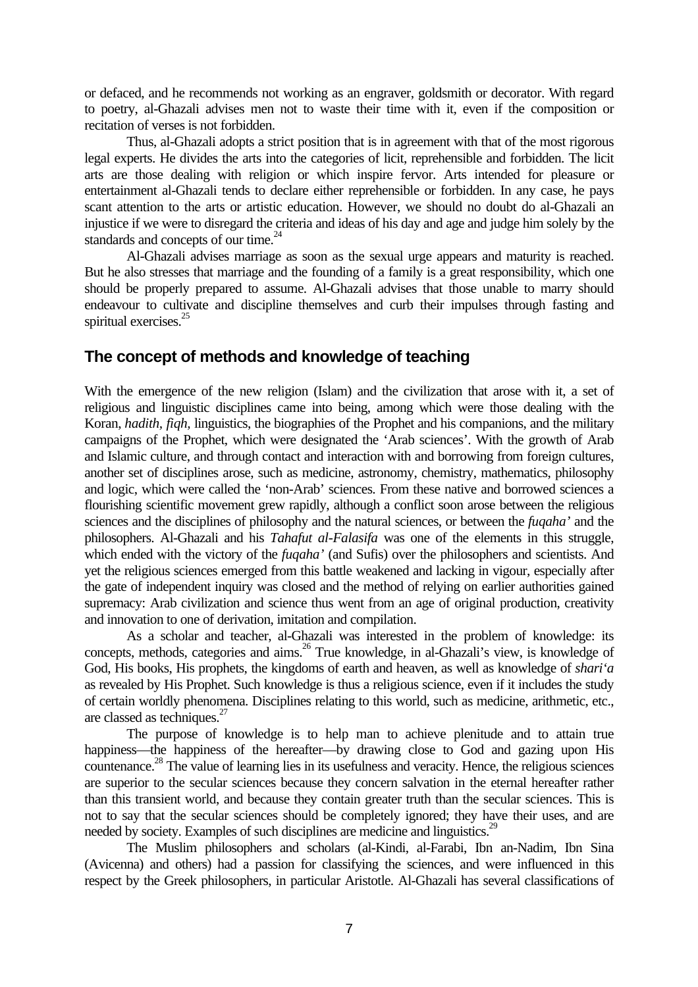or defaced, and he recommends not working as an engraver, goldsmith or decorator. With regard to poetry, al-Ghazali advises men not to waste their time with it, even if the composition or recitation of verses is not forbidden.

Thus, al-Ghazali adopts a strict position that is in agreement with that of the most rigorous legal experts. He divides the arts into the categories of licit, reprehensible and forbidden. The licit arts are those dealing with religion or which inspire fervor. Arts intended for pleasure or entertainment al-Ghazali tends to declare either reprehensible or forbidden. In any case, he pays scant attention to the arts or artistic education. However, we should no doubt do al-Ghazali an injustice if we were to disregard the criteria and ideas of his day and age and judge him solely by the standards and concepts of our time. $^{24}$ 

Al-Ghazali advises marriage as soon as the sexual urge appears and maturity is reached. But he also stresses that marriage and the founding of a family is a great responsibility, which one should be properly prepared to assume. Al-Ghazali advises that those unable to marry should endeavour to cultivate and discipline themselves and curb their impulses through fasting and spiritual exercises.<sup>25</sup>

### **The concept of methods and knowledge of teaching**

With the emergence of the new religion (Islam) and the civilization that arose with it, a set of religious and linguistic disciplines came into being, among which were those dealing with the Koran, *hadith, fiqh,* linguistics, the biographies of the Prophet and his companions, and the military campaigns of the Prophet, which were designated the 'Arab sciences'. With the growth of Arab and Islamic culture, and through contact and interaction with and borrowing from foreign cultures, another set of disciplines arose, such as medicine, astronomy, chemistry, mathematics, philosophy and logic, which were called the 'non-Arab' sciences. From these native and borrowed sciences a flourishing scientific movement grew rapidly, although a conflict soon arose between the religious sciences and the disciplines of philosophy and the natural sciences, or between the *fuqaha'* and the philosophers. Al-Ghazali and his *Tahafut al-Falasifa* was one of the elements in this struggle, which ended with the victory of the *fuqaha'* (and Sufis) over the philosophers and scientists. And yet the religious sciences emerged from this battle weakened and lacking in vigour, especially after the gate of independent inquiry was closed and the method of relying on earlier authorities gained supremacy: Arab civilization and science thus went from an age of original production, creativity and innovation to one of derivation, imitation and compilation.

As a scholar and teacher, al-Ghazali was interested in the problem of knowledge: its concepts, methods, categories and aims.<sup>26</sup> True knowledge, in al-Ghazali's view, is knowledge of God, His books, His prophets, the kingdoms of earth and heaven, as well as knowledge of *shari'a* as revealed by His Prophet. Such knowledge is thus a religious science, even if it includes the study of certain worldly phenomena. Disciplines relating to this world, such as medicine, arithmetic, etc., are classed as techniques. $27$ 

The purpose of knowledge is to help man to achieve plenitude and to attain true happiness—the happiness of the hereafter—by drawing close to God and gazing upon His countenance.<sup>28</sup> The value of learning lies in its usefulness and veracity. Hence, the religious sciences are superior to the secular sciences because they concern salvation in the eternal hereafter rather than this transient world, and because they contain greater truth than the secular sciences. This is not to say that the secular sciences should be completely ignored; they have their uses, and are needed by society. Examples of such disciplines are medicine and linguistics.<sup>29</sup>

The Muslim philosophers and scholars (al-Kindi, al-Farabi, Ibn an-Nadim, Ibn Sina (Avicenna) and others) had a passion for classifying the sciences, and were influenced in this respect by the Greek philosophers, in particular Aristotle. Al-Ghazali has several classifications of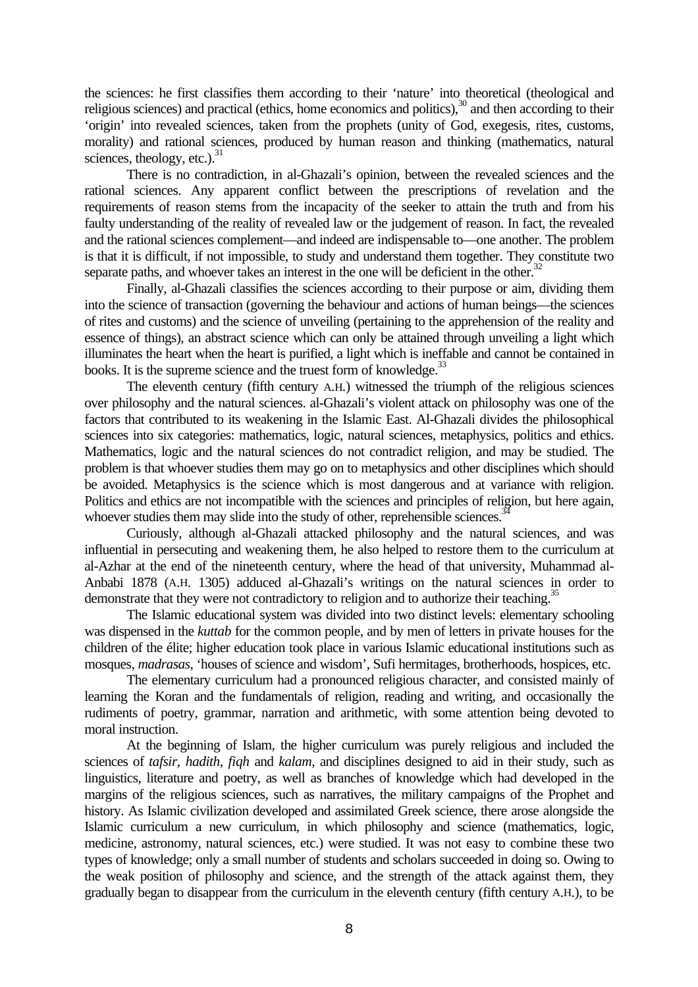the sciences: he first classifies them according to their 'nature' into theoretical (theological and religious sciences) and practical (ethics, home economics and politics),<sup>30</sup> and then according to their 'origin' into revealed sciences, taken from the prophets (unity of God, exegesis, rites, customs, morality) and rational sciences, produced by human reason and thinking (mathematics, natural sciences, theology, etc.). $31$ 

There is no contradiction, in al-Ghazali's opinion, between the revealed sciences and the rational sciences. Any apparent conflict between the prescriptions of revelation and the requirements of reason stems from the incapacity of the seeker to attain the truth and from his faulty understanding of the reality of revealed law or the judgement of reason. In fact, the revealed and the rational sciences complement—and indeed are indispensable to—one another. The problem is that it is difficult, if not impossible, to study and understand them together. They constitute two separate paths, and whoever takes an interest in the one will be deficient in the other. $32$ 

Finally, al-Ghazali classifies the sciences according to their purpose or aim, dividing them into the science of transaction (governing the behaviour and actions of human beings—the sciences of rites and customs) and the science of unveiling (pertaining to the apprehension of the reality and essence of things), an abstract science which can only be attained through unveiling a light which illuminates the heart when the heart is purified, a light which is ineffable and cannot be contained in books. It is the supreme science and the truest form of knowledge.<sup>33</sup>

The eleventh century (fifth century A.H.) witnessed the triumph of the religious sciences over philosophy and the natural sciences. al-Ghazali's violent attack on philosophy was one of the factors that contributed to its weakening in the Islamic East. Al-Ghazali divides the philosophical sciences into six categories: mathematics, logic, natural sciences, metaphysics, politics and ethics. Mathematics, logic and the natural sciences do not contradict religion, and may be studied. The problem is that whoever studies them may go on to metaphysics and other disciplines which should be avoided. Metaphysics is the science which is most dangerous and at variance with religion. Politics and ethics are not incompatible with the sciences and principles of religion, but here again, whoever studies them may slide into the study of other, reprehensible sciences.<sup>3</sup>

Curiously, although al-Ghazali attacked philosophy and the natural sciences, and was influential in persecuting and weakening them, he also helped to restore them to the curriculum at al-Azhar at the end of the nineteenth century, where the head of that university, Muhammad al-Anbabi 1878 (A.H. 1305) adduced al-Ghazali's writings on the natural sciences in order to demonstrate that they were not contradictory to religion and to authorize their teaching.<sup>35</sup>

The Islamic educational system was divided into two distinct levels: elementary schooling was dispensed in the *kuttab* for the common people, and by men of letters in private houses for the children of the élite; higher education took place in various Islamic educational institutions such as mosques, *madrasas*, 'houses of science and wisdom', Sufi hermitages, brotherhoods, hospices, etc.

The elementary curriculum had a pronounced religious character, and consisted mainly of learning the Koran and the fundamentals of religion, reading and writing, and occasionally the rudiments of poetry, grammar, narration and arithmetic, with some attention being devoted to moral instruction.

At the beginning of Islam, the higher curriculum was purely religious and included the sciences of *tafsir*, *hadith*, *fiqh* and *kalam*, and disciplines designed to aid in their study, such as linguistics, literature and poetry, as well as branches of knowledge which had developed in the margins of the religious sciences, such as narratives, the military campaigns of the Prophet and history. As Islamic civilization developed and assimilated Greek science, there arose alongside the Islamic curriculum a new curriculum, in which philosophy and science (mathematics, logic, medicine, astronomy, natural sciences, etc.) were studied. It was not easy to combine these two types of knowledge; only a small number of students and scholars succeeded in doing so. Owing to the weak position of philosophy and science, and the strength of the attack against them, they gradually began to disappear from the curriculum in the eleventh century (fifth century A.H.), to be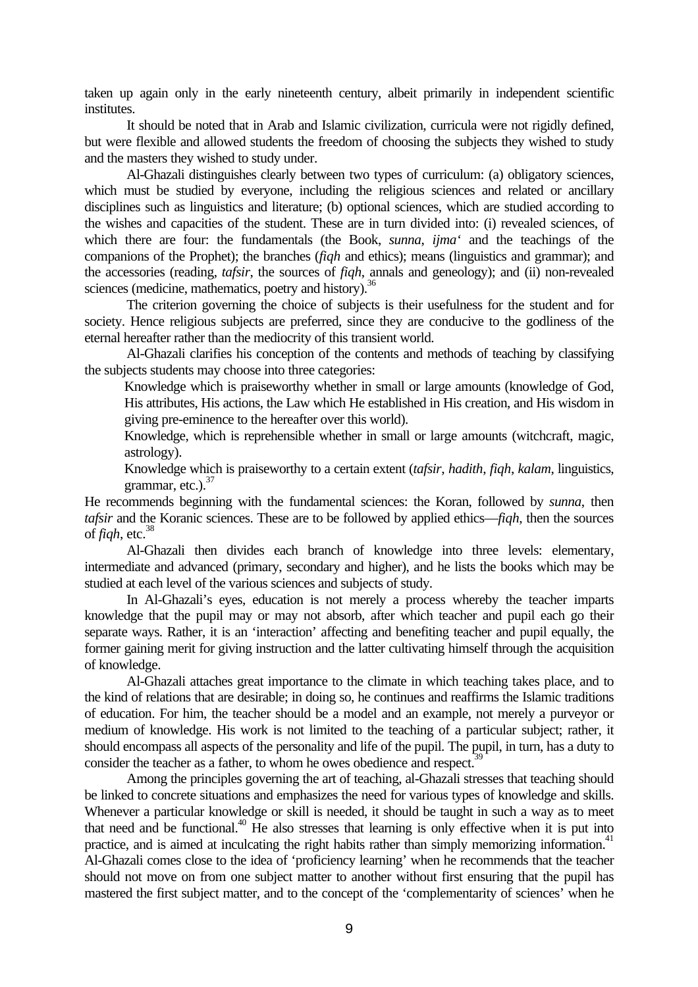taken up again only in the early nineteenth century, albeit primarily in independent scientific institutes.

It should be noted that in Arab and Islamic civilization, curricula were not rigidly defined, but were flexible and allowed students the freedom of choosing the subjects they wished to study and the masters they wished to study under.

Al-Ghazali distinguishes clearly between two types of curriculum: (a) obligatory sciences, which must be studied by everyone, including the religious sciences and related or ancillary disciplines such as linguistics and literature; (b) optional sciences, which are studied according to the wishes and capacities of the student. These are in turn divided into: (i) revealed sciences, of which there are four: the fundamentals (the Book, *sunna*, *ijma'* and the teachings of the companions of the Prophet); the branches (*fiqh* and ethics); means (linguistics and grammar); and the accessories (reading, *tafsir*, the sources of *fiqh*, annals and geneology); and (ii) non-revealed sciences (medicine, mathematics, poetry and history).<sup>36</sup>

The criterion governing the choice of subjects is their usefulness for the student and for society. Hence religious subjects are preferred, since they are conducive to the godliness of the eternal hereafter rather than the mediocrity of this transient world.

Al-Ghazali clarifies his conception of the contents and methods of teaching by classifying the subjects students may choose into three categories:

Knowledge which is praiseworthy whether in small or large amounts (knowledge of God, His attributes, His actions, the Law which He established in His creation, and His wisdom in giving pre-eminence to the hereafter over this world).

Knowledge, which is reprehensible whether in small or large amounts (witchcraft, magic, astrology).

Knowledge which is praiseworthy to a certain extent (*tafsir*, *hadith*, *fiqh*, *kalam*, linguistics, grammar, etc.). 37

He recommends beginning with the fundamental sciences: the Koran, followed by *sunna*, then *tafsir* and the Koranic sciences. These are to be followed by applied ethics—*fiqh*, then the sources of  $figh, etc.<sup>38</sup>$ 

Al-Ghazali then divides each branch of knowledge into three levels: elementary, intermediate and advanced (primary, secondary and higher), and he lists the books which may be studied at each level of the various sciences and subjects of study.

In Al-Ghazali's eyes, education is not merely a process whereby the teacher imparts knowledge that the pupil may or may not absorb, after which teacher and pupil each go their separate ways. Rather, it is an 'interaction' affecting and benefiting teacher and pupil equally, the former gaining merit for giving instruction and the latter cultivating himself through the acquisition of knowledge.

Al-Ghazali attaches great importance to the climate in which teaching takes place, and to the kind of relations that are desirable; in doing so, he continues and reaffirms the Islamic traditions of education. For him, the teacher should be a model and an example, not merely a purveyor or medium of knowledge. His work is not limited to the teaching of a particular subject; rather, it should encompass all aspects of the personality and life of the pupil. The pupil, in turn, has a duty to consider the teacher as a father, to whom he owes obedience and respect. $39$ 

Among the principles governing the art of teaching, al-Ghazali stresses that teaching should be linked to concrete situations and emphasizes the need for various types of knowledge and skills. Whenever a particular knowledge or skill is needed, it should be taught in such a way as to meet that need and be functional.<sup>40</sup> He also stresses that learning is only effective when it is put into practice, and is aimed at inculcating the right habits rather than simply memorizing information.<sup>41</sup> Al-Ghazali comes close to the idea of 'proficiency learning' when he recommends that the teacher should not move on from one subject matter to another without first ensuring that the pupil has mastered the first subject matter, and to the concept of the 'complementarity of sciences' when he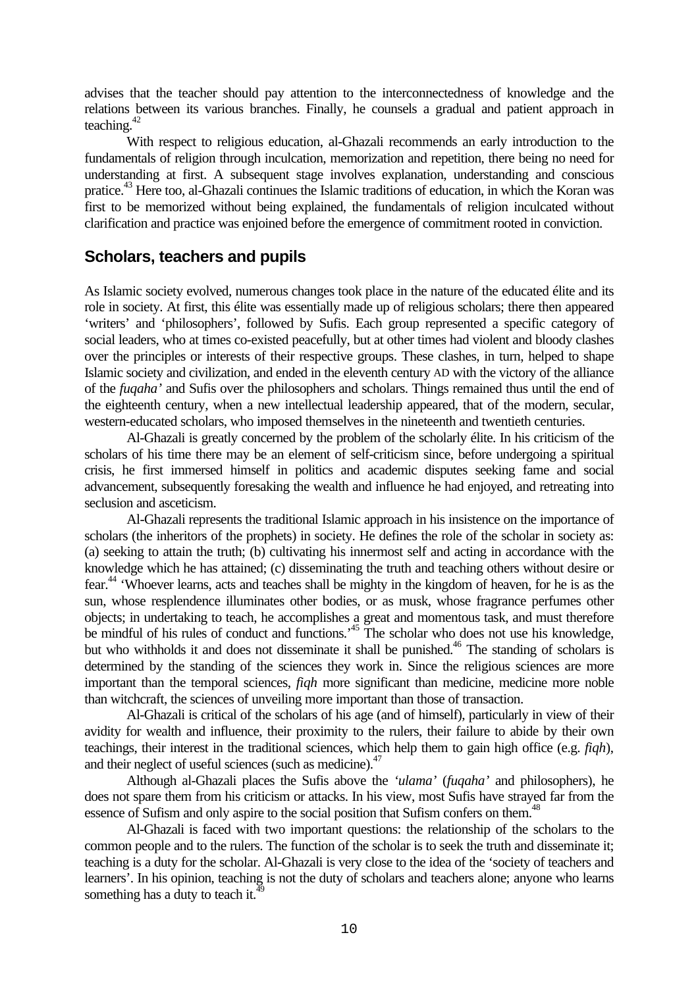advises that the teacher should pay attention to the interconnectedness of knowledge and the relations between its various branches. Finally, he counsels a gradual and patient approach in teaching. $42$ 

With respect to religious education, al-Ghazali recommends an early introduction to the fundamentals of religion through inculcation, memorization and repetition, there being no need for understanding at first. A subsequent stage involves explanation, understanding and conscious pratice.<sup>43</sup> Here too, al-Ghazali continues the Islamic traditions of education, in which the Koran was first to be memorized without being explained, the fundamentals of religion inculcated without clarification and practice was enjoined before the emergence of commitment rooted in conviction.

## **Scholars, teachers and pupils**

As Islamic society evolved, numerous changes took place in the nature of the educated élite and its role in society. At first, this élite was essentially made up of religious scholars; there then appeared 'writers' and 'philosophers', followed by Sufis. Each group represented a specific category of social leaders, who at times co-existed peacefully, but at other times had violent and bloody clashes over the principles or interests of their respective groups. These clashes, in turn, helped to shape Islamic society and civilization, and ended in the eleventh century AD with the victory of the alliance of the *fuqaha'* and Sufis over the philosophers and scholars. Things remained thus until the end of the eighteenth century, when a new intellectual leadership appeared, that of the modern, secular, western-educated scholars, who imposed themselves in the nineteenth and twentieth centuries.

Al-Ghazali is greatly concerned by the problem of the scholarly élite. In his criticism of the scholars of his time there may be an element of self-criticism since, before undergoing a spiritual crisis, he first immersed himself in politics and academic disputes seeking fame and social advancement, subsequently foresaking the wealth and influence he had enjoyed, and retreating into seclusion and asceticism.

Al-Ghazali represents the traditional Islamic approach in his insistence on the importance of scholars (the inheritors of the prophets) in society. He defines the role of the scholar in society as: (a) seeking to attain the truth; (b) cultivating his innermost self and acting in accordance with the knowledge which he has attained; (c) disseminating the truth and teaching others without desire or fear.<sup>44</sup> 'Whoever learns, acts and teaches shall be mighty in the kingdom of heaven, for he is as the sun, whose resplendence illuminates other bodies, or as musk, whose fragrance perfumes other objects; in undertaking to teach, he accomplishes a great and momentous task, and must therefore be mindful of his rules of conduct and functions.<sup>45</sup> The scholar who does not use his knowledge, but who withholds it and does not disseminate it shall be punished.<sup>46</sup> The standing of scholars is determined by the standing of the sciences they work in. Since the religious sciences are more important than the temporal sciences, *fiqh* more significant than medicine, medicine more noble than witchcraft, the sciences of unveiling more important than those of transaction.

Al-Ghazali is critical of the scholars of his age (and of himself), particularly in view of their avidity for wealth and influence, their proximity to the rulers, their failure to abide by their own teachings, their interest in the traditional sciences, which help them to gain high office (e.g. *fiqh*), and their neglect of useful sciences (such as medicine).<sup>47</sup>

Although al-Ghazali places the Sufis above the *'ulama'* (*fuqaha'* and philosophers), he does not spare them from his criticism or attacks. In his view, most Sufis have strayed far from the essence of Sufism and only aspire to the social position that Sufism confers on them.<sup>48</sup>

Al-Ghazali is faced with two important questions: the relationship of the scholars to the common people and to the rulers. The function of the scholar is to seek the truth and disseminate it; teaching is a duty for the scholar. Al-Ghazali is very close to the idea of the 'society of teachers and learners'. In his opinion, teaching is not the duty of scholars and teachers alone; anyone who learns something has a duty to teach it.<sup>49</sup>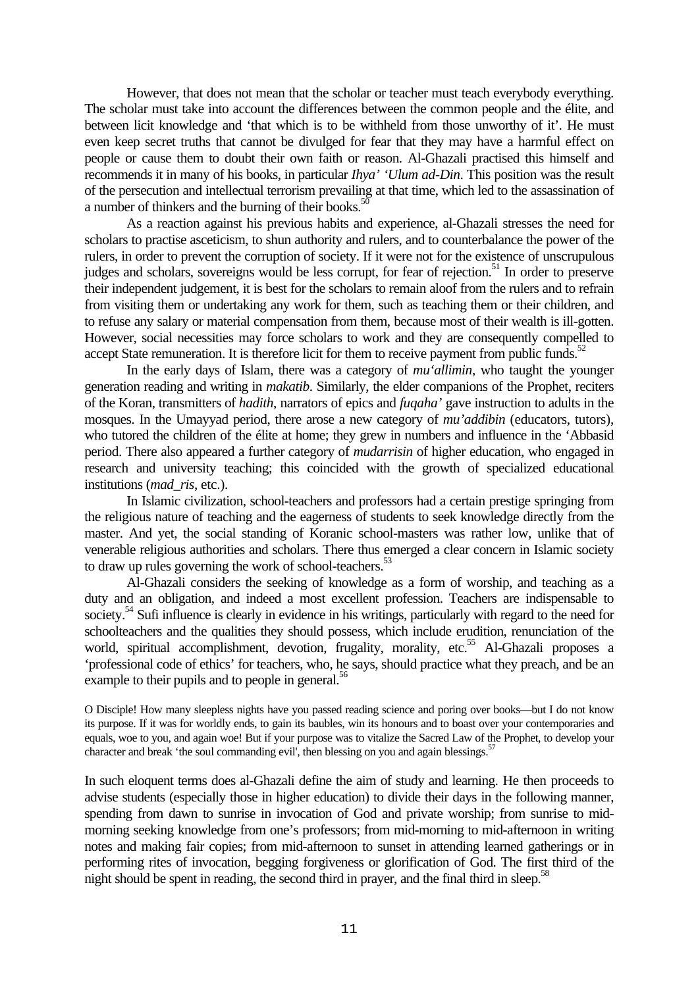However, that does not mean that the scholar or teacher must teach everybody everything. The scholar must take into account the differences between the common people and the élite, and between licit knowledge and 'that which is to be withheld from those unworthy of it'. He must even keep secret truths that cannot be divulged for fear that they may have a harmful effect on people or cause them to doubt their own faith or reason. Al-Ghazali practised this himself and recommends it in many of his books, in particular *Ihya' 'Ulum ad-Din*. This position was the result of the persecution and intellectual terrorism prevailing at that time, which led to the assassination of a number of thinkers and the burning of their books.<sup>5</sup>

As a reaction against his previous habits and experience, al-Ghazali stresses the need for scholars to practise asceticism, to shun authority and rulers, and to counterbalance the power of the rulers, in order to prevent the corruption of society. If it were not for the existence of unscrupulous judges and scholars, sovereigns would be less corrupt, for fear of rejection.<sup>51</sup> In order to preserve their independent judgement, it is best for the scholars to remain aloof from the rulers and to refrain from visiting them or undertaking any work for them, such as teaching them or their children, and to refuse any salary or material compensation from them, because most of their wealth is ill-gotten. However, social necessities may force scholars to work and they are consequently compelled to accept State remuneration. It is therefore licit for them to receive payment from public funds.<sup>52</sup>

In the early days of Islam, there was a category of *mu'allimin*, who taught the younger generation reading and writing in *makatib*. Similarly, the elder companions of the Prophet, reciters of the Koran, transmitters of *hadith*, narrators of epics and *fuqaha'* gave instruction to adults in the mosques. In the Umayyad period, there arose a new category of *mu'addibin* (educators, tutors), who tutored the children of the élite at home; they grew in numbers and influence in the 'Abbasid period. There also appeared a further category of *mudarrisin* of higher education, who engaged in research and university teaching; this coincided with the growth of specialized educational institutions (*mad\_ris*, etc.).

In Islamic civilization, school-teachers and professors had a certain prestige springing from the religious nature of teaching and the eagerness of students to seek knowledge directly from the master. And yet, the social standing of Koranic school-masters was rather low, unlike that of venerable religious authorities and scholars. There thus emerged a clear concern in Islamic society to draw up rules governing the work of school-teachers.<sup>53</sup>

Al-Ghazali considers the seeking of knowledge as a form of worship, and teaching as a duty and an obligation, and indeed a most excellent profession. Teachers are indispensable to society.<sup>54</sup> Sufi influence is clearly in evidence in his writings, particularly with regard to the need for schoolteachers and the qualities they should possess, which include erudition, renunciation of the world, spiritual accomplishment, devotion, frugality, morality, etc.<sup>55</sup> Al-Ghazali proposes a 'professional code of ethics' for teachers, who, he says, should practice what they preach, and be an example to their pupils and to people in general.<sup>56</sup>

O Disciple! How many sleepless nights have you passed reading science and poring over books—but I do not know its purpose. If it was for worldly ends, to gain its baubles, win its honours and to boast over your contemporaries and equals, woe to you, and again woe! But if your purpose was to vitalize the Sacred Law of the Prophet, to develop your character and break 'the soul commanding evil', then blessing on you and again blessings.<sup>57</sup>

In such eloquent terms does al-Ghazali define the aim of study and learning. He then proceeds to advise students (especially those in higher education) to divide their days in the following manner, spending from dawn to sunrise in invocation of God and private worship; from sunrise to midmorning seeking knowledge from one's professors; from mid-morning to mid-afternoon in writing notes and making fair copies; from mid-afternoon to sunset in attending learned gatherings or in performing rites of invocation, begging forgiveness or glorification of God. The first third of the night should be spent in reading, the second third in prayer, and the final third in sleep.<sup>58</sup>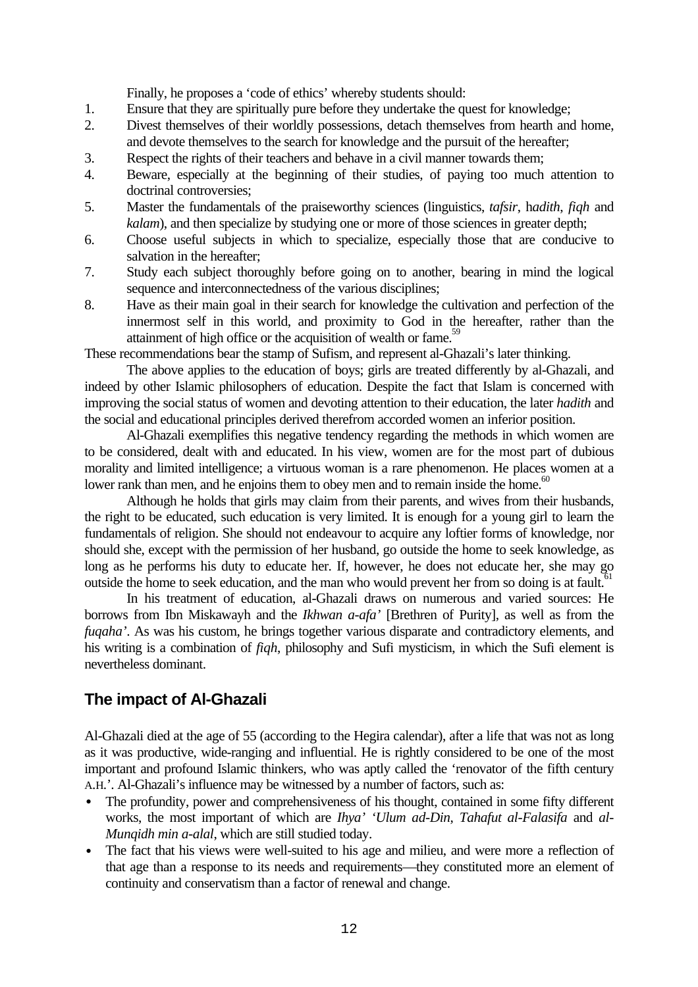Finally, he proposes a 'code of ethics' whereby students should:

- 1. Ensure that they are spiritually pure before they undertake the quest for knowledge;
- 2. Divest themselves of their worldly possessions, detach themselves from hearth and home, and devote themselves to the search for knowledge and the pursuit of the hereafter;
- 3. Respect the rights of their teachers and behave in a civil manner towards them;
- 4. Beware, especially at the beginning of their studies, of paying too much attention to doctrinal controversies;
- 5. Master the fundamentals of the praiseworthy sciences (linguistics, *tafsir*, h*adith*, *fiqh* and *kalam*), and then specialize by studying one or more of those sciences in greater depth;
- 6. Choose useful subjects in which to specialize, especially those that are conducive to salvation in the hereafter;
- 7. Study each subject thoroughly before going on to another, bearing in mind the logical sequence and interconnectedness of the various disciplines;
- 8. Have as their main goal in their search for knowledge the cultivation and perfection of the innermost self in this world, and proximity to God in the hereafter, rather than the attainment of high office or the acquisition of wealth or fame.<sup>59</sup>

These recommendations bear the stamp of Sufism, and represent al-Ghazali's later thinking.

The above applies to the education of boys; girls are treated differently by al-Ghazali, and indeed by other Islamic philosophers of education. Despite the fact that Islam is concerned with improving the social status of women and devoting attention to their education, the later *hadith* and the social and educational principles derived therefrom accorded women an inferior position.

Al-Ghazali exemplifies this negative tendency regarding the methods in which women are to be considered, dealt with and educated. In his view, women are for the most part of dubious morality and limited intelligence; a virtuous woman is a rare phenomenon. He places women at a lower rank than men, and he enjoins them to obey men and to remain inside the home.<sup>60</sup>

Although he holds that girls may claim from their parents, and wives from their husbands, the right to be educated, such education is very limited. It is enough for a young girl to learn the fundamentals of religion. She should not endeavour to acquire any loftier forms of knowledge, nor should she, except with the permission of her husband, go outside the home to seek knowledge, as long as he performs his duty to educate her. If, however, he does not educate her, she may go outside the home to seek education, and the man who would prevent her from so doing is at fault.<sup>61</sup>

In his treatment of education, al-Ghazali draws on numerous and varied sources: He borrows from Ibn Miskawayh and the *Ikhwan a-afa'* [Brethren of Purity], as well as from the *fuqaha'*. As was his custom, he brings together various disparate and contradictory elements, and his writing is a combination of *fiqh*, philosophy and Sufi mysticism, in which the Sufi element is nevertheless dominant.

## **The impact of Al-Ghazali**

Al-Ghazali died at the age of 55 (according to the Hegira calendar), after a life that was not as long as it was productive, wide-ranging and influential. He is rightly considered to be one of the most important and profound Islamic thinkers, who was aptly called the 'renovator of the fifth century A.H.'. Al-Ghazali's influence may be witnessed by a number of factors, such as:

- The profundity, power and comprehensiveness of his thought, contained in some fifty different works, the most important of which are *Ihya' 'Ulum ad-Din*, *Tahafut al-Falasifa* and *al-Munqidh min a-alal*, which are still studied today.
- The fact that his views were well-suited to his age and milieu, and were more a reflection of that age than a response to its needs and requirements—they constituted more an element of continuity and conservatism than a factor of renewal and change.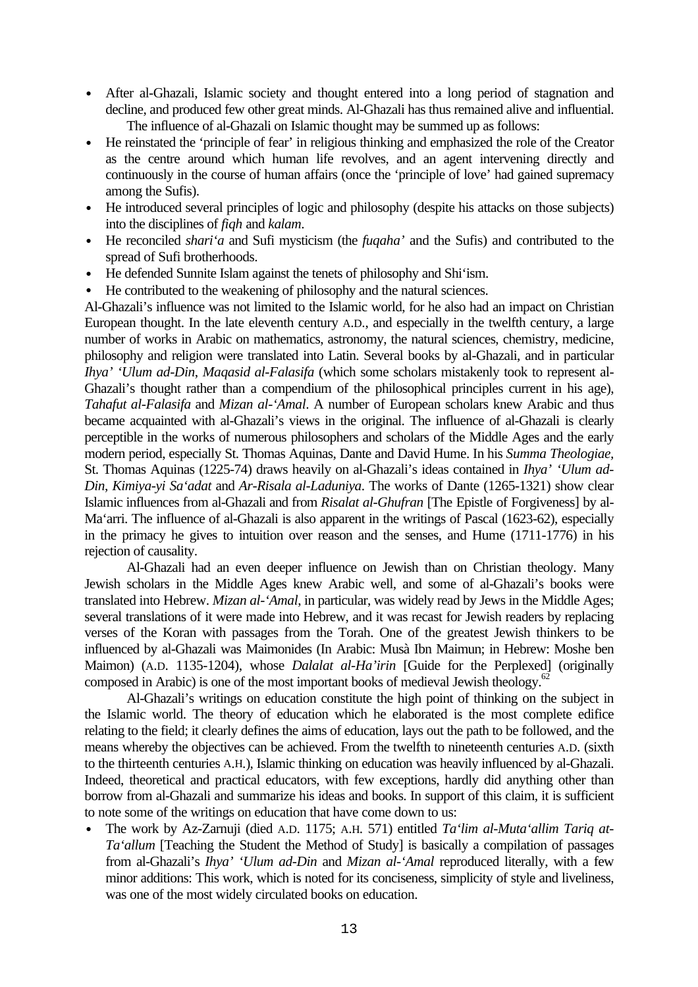- After al-Ghazali, Islamic society and thought entered into a long period of stagnation and decline, and produced few other great minds. Al-Ghazali has thus remained alive and influential. The influence of al-Ghazali on Islamic thought may be summed up as follows:
- He reinstated the 'principle of fear' in religious thinking and emphasized the role of the Creator as the centre around which human life revolves, and an agent intervening directly and continuously in the course of human affairs (once the 'principle of love' had gained supremacy among the Sufis).
- He introduced several principles of logic and philosophy (despite his attacks on those subjects) into the disciplines of *fiqh* and *kalam*.
- He reconciled *shari'a* and Sufi mysticism (the *fuqaha'* and the Sufis) and contributed to the spread of Sufi brotherhoods.
- He defended Sunnite Islam against the tenets of philosophy and Shi'ism.
- He contributed to the weakening of philosophy and the natural sciences.

Al-Ghazali's influence was not limited to the Islamic world, for he also had an impact on Christian European thought. In the late eleventh century A.D., and especially in the twelfth century, a large number of works in Arabic on mathematics, astronomy, the natural sciences, chemistry, medicine, philosophy and religion were translated into Latin. Several books by al-Ghazali, and in particular *Ihya' 'Ulum ad-Din*, *Maqasid al-Falasifa* (which some scholars mistakenly took to represent al-Ghazali's thought rather than a compendium of the philosophical principles current in his age), *Tahafut al-Falasifa* and *Mizan al-'Amal*. A number of European scholars knew Arabic and thus became acquainted with al-Ghazali's views in the original. The influence of al-Ghazali is clearly perceptible in the works of numerous philosophers and scholars of the Middle Ages and the early modern period, especially St. Thomas Aquinas, Dante and David Hume. In his *Summa Theologiae,* St. Thomas Aquinas (1225-74) draws heavily on al-Ghazali's ideas contained in *Ihya' 'Ulum ad-Din*, *Kimiya-yi Sa'adat* and *Ar-Risala al-Laduniya*. The works of Dante (1265-1321) show clear Islamic influences from al-Ghazali and from *Risalat al-Ghufran* [The Epistle of Forgiveness] by al-Ma'arri. The influence of al-Ghazali is also apparent in the writings of Pascal (1623-62), especially in the primacy he gives to intuition over reason and the senses, and Hume (1711-1776) in his rejection of causality.

Al-Ghazali had an even deeper influence on Jewish than on Christian theology. Many Jewish scholars in the Middle Ages knew Arabic well, and some of al-Ghazali's books were translated into Hebrew. *Mizan al-'Amal*, in particular, was widely read by Jews in the Middle Ages; several translations of it were made into Hebrew, and it was recast for Jewish readers by replacing verses of the Koran with passages from the Torah. One of the greatest Jewish thinkers to be influenced by al-Ghazali was Maimonides (In Arabic: Musà Ibn Maimun; in Hebrew: Moshe ben Maimon) (A.D. 1135-1204), whose *Dalalat al-Ha'irin* [Guide for the Perplexed] (originally composed in Arabic) is one of the most important books of medieval Jewish theology.<sup>6</sup>

Al-Ghazali's writings on education constitute the high point of thinking on the subject in the Islamic world. The theory of education which he elaborated is the most complete edifice relating to the field; it clearly defines the aims of education, lays out the path to be followed, and the means whereby the objectives can be achieved. From the twelfth to nineteenth centuries A.D. (sixth to the thirteenth centuries A.H.), Islamic thinking on education was heavily influenced by al-Ghazali. Indeed, theoretical and practical educators, with few exceptions, hardly did anything other than borrow from al-Ghazali and summarize his ideas and books. In support of this claim, it is sufficient to note some of the writings on education that have come down to us:

• The work by Az-Zarnuji (died A.D. 1175; A.H. 571) entitled *Ta'lim al-Muta'allim Tariq at-Ta'allum* [Teaching the Student the Method of Study] is basically a compilation of passages from al-Ghazali's *Ihya' 'Ulum ad-Din* and *Mizan al-'Amal* reproduced literally, with a few minor additions: This work, which is noted for its conciseness, simplicity of style and liveliness, was one of the most widely circulated books on education.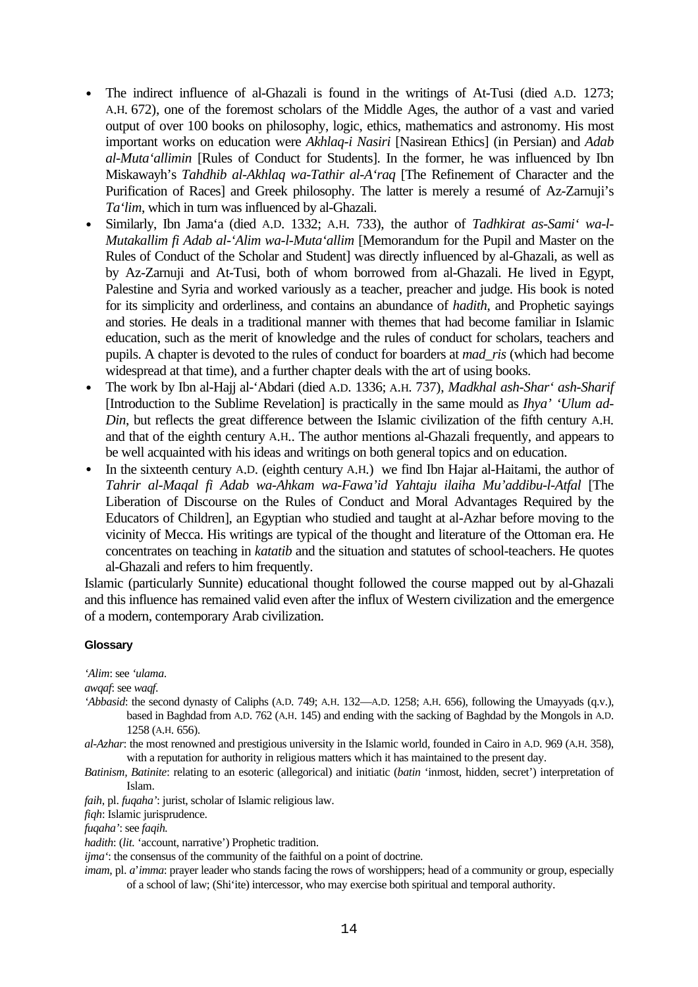- The indirect influence of al-Ghazali is found in the writings of At-Tusi (died A.D. 1273; A.H. 672), one of the foremost scholars of the Middle Ages, the author of a vast and varied output of over 100 books on philosophy, logic, ethics, mathematics and astronomy. His most important works on education were *Akhlaq-i Nasiri* [Nasirean Ethics] (in Persian) and *Adab al-Muta'allimin* [Rules of Conduct for Students]. In the former, he was influenced by Ibn Miskawayh's *Tahdhib al-Akhlaq wa-Tathir al-A'raq* [The Refinement of Character and the Purification of Races] and Greek philosophy. The latter is merely a resumé of Az-Zarnuji's *Ta'lim*, which in turn was influenced by al-Ghazali.
- Similarly, Ibn Jama'a (died A.D. 1332; A.H. 733), the author of *Tadhkirat as-Sami' wa-l-Mutakallim fi Adab al-'Alim wa-l-Muta'allim* [Memorandum for the Pupil and Master on the Rules of Conduct of the Scholar and Student] was directly influenced by al-Ghazali, as well as by Az-Zarnuji and At-Tusi, both of whom borrowed from al-Ghazali. He lived in Egypt, Palestine and Syria and worked variously as a teacher, preacher and judge. His book is noted for its simplicity and orderliness, and contains an abundance of *hadith*, and Prophetic sayings and stories. He deals in a traditional manner with themes that had become familiar in Islamic education, such as the merit of knowledge and the rules of conduct for scholars, teachers and pupils. A chapter is devoted to the rules of conduct for boarders at *mad\_ris* (which had become widespread at that time), and a further chapter deals with the art of using books.
- The work by Ibn al-Hajj al-'Abdari (died A.D. 1336; A.H. 737), *Madkhal ash-Shar' ash-Sharif* [Introduction to the Sublime Revelation] is practically in the same mould as *Ihya' 'Ulum ad-Din*, but reflects the great difference between the Islamic civilization of the fifth century A.H. and that of the eighth century A.H.. The author mentions al-Ghazali frequently, and appears to be well acquainted with his ideas and writings on both general topics and on education.
- In the sixteenth century A.D. (eighth century A.H.) we find Ibn Hajar al-Haitami, the author of *Tahrir al-Maqal fi Adab wa-Ahkam wa-Fawa'id Yahtaju ilaiha Mu'addibu-l-Atfal* [The Liberation of Discourse on the Rules of Conduct and Moral Advantages Required by the Educators of Children], an Egyptian who studied and taught at al-Azhar before moving to the vicinity of Mecca. His writings are typical of the thought and literature of the Ottoman era. He concentrates on teaching in *katatib* and the situation and statutes of school-teachers. He quotes al-Ghazali and refers to him frequently.

Islamic (particularly Sunnite) educational thought followed the course mapped out by al-Ghazali and this influence has remained valid even after the influx of Western civilization and the emergence of a modern, contemporary Arab civilization.

#### **Glossary**

*'Alim*: see *'ulama*.

*awqaf*: see *waqf*.

- *'Abbasid*: the second dynasty of Caliphs (A.D. 749; A.H. 132—A.D. 1258; A.H. 656), following the Umayyads (q.v.), based in Baghdad from A.D. 762 (A.H. 145) and ending with the sacking of Baghdad by the Mongols in A.D. 1258 (A.H. 656).
- *al-Azhar*: the most renowned and prestigious university in the Islamic world, founded in Cairo in A.D. 969 (A.H. 358), with a reputation for authority in religious matters which it has maintained to the present day.
- *Batinism, Batinite*: relating to an esoteric (allegorical) and initiatic (*batin* 'inmost, hidden, secret') interpretation of Islam.

*faih*, pl. *fuqaha'*: jurist, scholar of Islamic religious law.

*fiqh*: Islamic jurisprudence.

*fuqaha'*: see *faqih.*

*hadith*: (*lit.* 'account, narrative') Prophetic tradition.

*ijma*<sup>'</sup>: the consensus of the community of the faithful on a point of doctrine.

*imam*, pl. *a*'*imma*: prayer leader who stands facing the rows of worshippers; head of a community or group, especially of a school of law; (Shi'ite) intercessor, who may exercise both spiritual and temporal authority.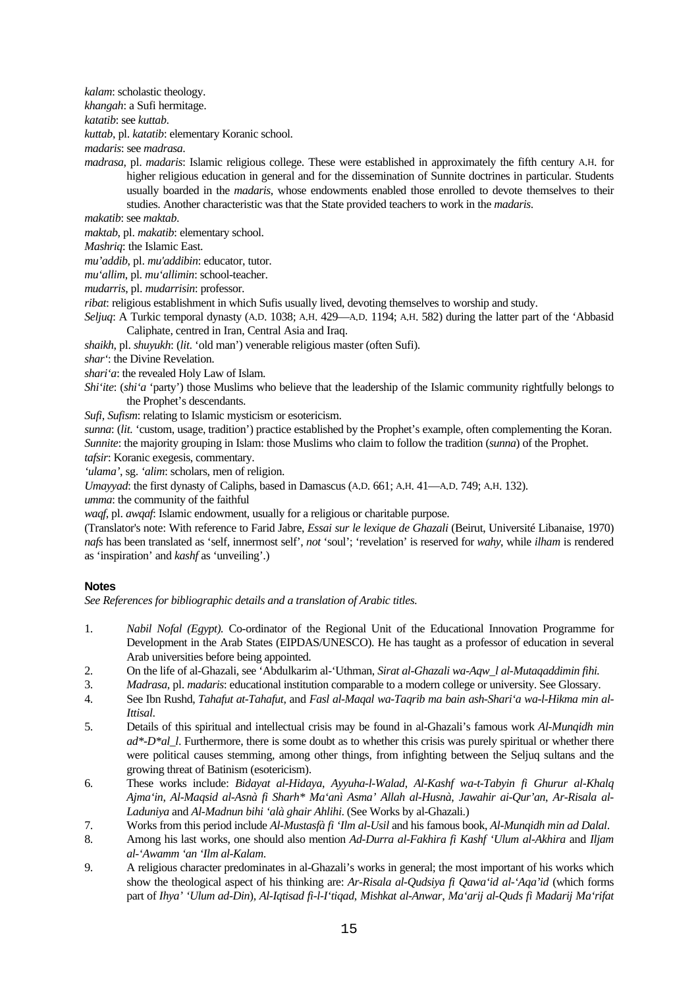*kalam*: scholastic theology.

*khangah*: a Sufi hermitage.

*katatib*: see *kuttab*.

*kuttab*, pl. *katatib*: elementary Koranic school.

*madaris*: see *madrasa*.

*madrasa*, pl. *madaris*: Islamic religious college. These were established in approximately the fifth century A.H. for higher religious education in general and for the dissemination of Sunnite doctrines in particular. Students usually boarded in the *madaris*, whose endowments enabled those enrolled to devote themselves to their studies. Another characteristic was that the State provided teachers to work in the *madaris*.

*makatib*: see *maktab*.

*maktab*, pl. *makatib*: elementary school.

*Mashriq*: the Islamic East.

*mu'addib*, pl. *mu'addibin*: educator, tutor.

*mu'allim*, pl. *mu'allimin*: school-teacher.

*mudarris*, pl. *mudarrisin*: professor.

*ribat*: religious establishment in which Sufis usually lived, devoting themselves to worship and study.

*Seljuq*: A Turkic temporal dynasty (A.D. 1038; A.H. 429—A.D. 1194; A.H. 582) during the latter part of the 'Abbasid Caliphate, centred in Iran, Central Asia and Iraq.

*shaikh*, pl. *shuyukh*: (*lit*. 'old man') venerable religious master (often Sufi).

*shar'*: the Divine Revelation.

*shari'a*: the revealed Holy Law of Islam.

*Shi'ite*: (*shi'a* 'party') those Muslims who believe that the leadership of the Islamic community rightfully belongs to the Prophet's descendants.

*Sufi*, *Sufism*: relating to Islamic mysticism or esotericism.

*sunna*: (*lit.* 'custom, usage, tradition') practice established by the Prophet's example, often complementing the Koran. *Sunnite*: the majority grouping in Islam: those Muslims who claim to follow the tradition (*sunna*) of the Prophet.

*tafsir*: Koranic exegesis, commentary.

*'ulama'*, sg. *'alim*: scholars, men of religion.

*Umayyad*: the first dynasty of Caliphs, based in Damascus (A.D. 661; A.H. 41—A.D. 749; A.H. 132).

*umma*: the community of the faithful

*waqf*, pl. *awqaf*: Islamic endowment, usually for a religious or charitable purpose.

(Translator's note: With reference to Farid Jabre, *Essai sur le lexique de Ghazali* (Beirut, Université Libanaise, 1970) *nafs* has been translated as 'self, innermost self', *not* 'soul'; 'revelation' is reserved for *wahy*, while *ilham* is rendered as 'inspiration' and *kashf* as 'unveiling'.)

### **Notes**

*See References for bibliographic details and a translation of Arabic titles.*

- 1. *Nabil Nofal (Egypt).* Co-ordinator of the Regional Unit of the Educational Innovation Programme for Development in the Arab States (EIPDAS/UNESCO). He has taught as a professor of education in several Arab universities before being appointed.
- 2. On the life of al-Ghazali, see 'Abdulkarim al-'Uthman, *Sirat al-Ghazali wa-Aqw\_l al-Mutaqaddimin fihi.*
- 3. *Madrasa*, pl. *madaris*: educational institution comparable to a modern college or university. See Glossary.
- 4. See Ibn Rushd, *Tahafut at-Tahafut*, and *Fasl al-Maqal wa-Taqrib ma bain ash-Shari'a wa-l-Hikma min al-Ittisal*.
- 5. Details of this spiritual and intellectual crisis may be found in al-Ghazali's famous work *Al-Munqidh min ad\*-D\*al\_l*. Furthermore, there is some doubt as to whether this crisis was purely spiritual or whether there were political causes stemming, among other things, from infighting between the Seljuq sultans and the growing threat of Batinism (esotericism).
- 6. These works include: *Bidayat al-Hidaya*, *Ayyuha-l-Walad*, *Al-Kashf wa-t-Tabyin fi Ghurur al-Khalq Ajma'in*, *Al-Maqsid al-Asnà fi Sharh\* Ma'anì Asma' Allah al-Husnà*, *Jawahir ai-Qur'an*, *Ar-Risala al-Laduniya* and *Al-Madnun bihi 'alà ghair Ahlihi*. (See Works by al-Ghazali.)
- 7. Works from this period include *Al-Mustasfà fi 'Ilm al-Usil* and his famous book, *Al-Munqidh min ad Dalal*.
- 8. Among his last works, one should also mention *Ad-Durra al-Fakhira fi Kashf 'Ulum al-Akhira* and *Iljam al-'Awamm 'an 'Ilm al-Kalam*.
- 9. A religious character predominates in al-Ghazali's works in general; the most important of his works which show the theological aspect of his thinking are: *Ar-Risala al-Qudsiya fi Qawa'id al-'Aqa'id* (which forms part of *Ihya' 'Ulum ad-Din*), *Al-Iqtisad fi-l-I'tiqad*, *Mishkat al-Anwar*, *Ma'arij al-Quds fi Madarij Ma'rifat*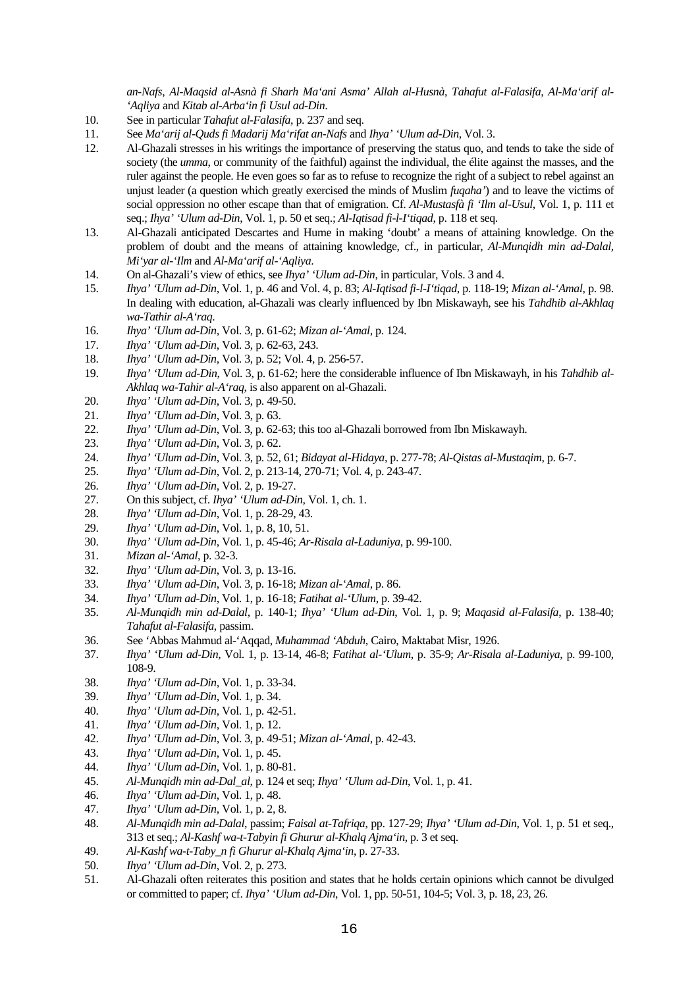*an-Nafs*, *Al-Maqsid al-Asnà fi Sharh Ma'ani Asma' Allah al-Husnà*, *Tahafut al-Falasifa*, *Al-Ma'arif al- 'Aqliya* and *Kitab al-Arba'in fi Usul ad-Din*.

- 10. See in particular *Tahafut al-Falasifa*, p. 237 and seq.
- 11. See *Ma'arij al-Quds fi Madarij Ma'rifat an-Nafs* and *Ihya' 'Ulum ad-Din*, Vol. 3.
- 12. Al-Ghazali stresses in his writings the importance of preserving the status quo, and tends to take the side of society (the *umma*, or community of the faithful) against the individual, the élite against the masses, and the ruler against the people. He even goes so far as to refuse to recognize the right of a subject to rebel against an unjust leader (a question which greatly exercised the minds of Muslim *fuqaha'*) and to leave the victims of social oppression no other escape than that of emigration. Cf. *Al-Mustasfà fi 'Ilm al-Usul*, Vol. 1, p. 111 et seq.; *Ihya' 'Ulum ad-Din*, Vol. 1, p. 50 et seq.; *Al-Iqtisad fi-l-I'tiqad*, p. 118 et seq.
- 13. Al-Ghazali anticipated Descartes and Hume in making 'doubt' a means of attaining knowledge. On the problem of doubt and the means of attaining knowledge, cf., in particular, *Al-Munqidh min ad-Dalal, Mi'yar al-'Ilm* and *Al-Ma'arif al-'Aqliya*.
- 14. On al-Ghazali's view of ethics, see *Ihya' 'Ulum ad-Din*, in particular, Vols. 3 and 4.
- 15. *Ihya' 'Ulum ad-Din*, Vol. 1, p. 46 and Vol. 4, p. 83; *Al-Iqtisad fi-l-I'tiqad*, p. 118-19; *Mizan al-'Amal*, p. 98. In dealing with education, al-Ghazali was clearly influenced by Ibn Miskawayh, see his *Tahdhib al-Akhlaq wa-Tathir al-A'raq*.
- 16. *Ihya' 'Ulum ad-Din*, Vol. 3, p. 61-62; *Mizan al-'Amal*, p. 124.
- 17. *Ihya' 'Ulum ad-Din*, Vol. 3, p. 62-63, 243.
- 18. *Ihya' 'Ulum ad-Din*, Vol. 3, p. 52; Vol. 4, p. 256-57.
- 19. *Ihya' 'Ulum ad-Din*, Vol. 3, p. 61-62; here the considerable influence of Ibn Miskawayh, in his *Tahdhib al-Akhlaq wa-Tahir al-A'raq*, is also apparent on al-Ghazali.
- 20. *Ihya' 'Ulum ad-Din*, Vol. 3, p. 49-50.
- 21. *Ihya' 'Ulum ad-Din*, Vol. 3, p. 63.
- 22. *Ihya' 'Ulum ad-Din*, Vol. 3, p. 62-63; this too al-Ghazali borrowed from Ibn Miskawayh.
- 23. *Ihya' 'Ulum ad-Din*, Vol. 3, p. 62.
- 24. *Ihya' 'Ulum ad-Din*, Vol. 3, p. 52, 61; *Bidayat al-Hidaya*, p. 277-78; *Al-Qistas al-Mustaqim*, p. 6-7.
- 25. *Ihya' 'Ulum ad-Din*, Vol. 2, p. 213-14, 270-71; Vol. 4, p. 243-47.
- 26. *Ihya' 'Ulum ad-Din*, Vol. 2, p. 19-27.
- 27. On this subject, cf. *Ihya' 'Ulum ad-Din*, Vol. 1, ch. 1.
- 28. *Ihya' 'Ulum ad-Din*, Vol. 1, p. 28-29, 43.
- 29. *Ihya' 'Ulum ad-Din*, Vol. 1, p. 8, 10, 51.
- 30. *Ihya' 'Ulum ad-Din*, Vol. 1, p. 45-46; *Ar-Risala al-Laduniya*, p. 99-100.
- 31. *Mizan al-'Amal*, p. 32-3.
- 32. *Ihya' 'Ulum ad-Din*, Vol. 3, p. 13-16.
- 33. *Ihya' 'Ulum ad-Din*, Vol. 3, p. 16-18; *Mizan al-'Amal*, p. 86.
- 34. *Ihya' 'Ulum ad-Din*, Vol. 1, p. 16-18; *Fatihat al-'Ulum*, p. 39-42.
- 35. *Al-Munqidh min ad-Dalal*, p. 140-1; *Ihya' 'Ulum ad-Din*, Vol. 1, p. 9; *Maqasid al-Falasifa*, p. 138-40; *Tahafut al-Falasifa*, passim.
- 36. See 'Abbas Mahmud al-'Aqqad, *Muhammad 'Abduh*, Cairo, Maktabat Misr, 1926.
- 37. *Ihya' 'Ulum ad-Din*, Vol. 1, p. 13-14, 46-8; *Fatihat al-'Ulum*, p. 35-9; *Ar-Risala al-Laduniya*, p. 99-100, 108-9.
- 38. *Ihya' 'Ulum ad-Din*, Vol. 1, p. 33-34.
- 39. *Ihya' 'Ulum ad-Din*, Vol. 1, p. 34.
- 40. *Ihya' 'Ulum ad-Din*, Vol. 1, p. 42-51.
- 41. *Ihya' 'Ulum ad-Din*, Vol. 1, p. 12.
- 42. *Ihya' 'Ulum ad-Din*, Vol. 3, p. 49-51; *Mizan al-'Amal*, p. 42-43.
- 43. *Ihya' 'Ulum ad-Din*, Vol. 1, p. 45.
- 44. *Ihya' 'Ulum ad-Din*, Vol. 1, p. 80-81.
- 45. *Al-Munqidh min ad-Dal\_al*, p. 124 et seq; *Ihya' 'Ulum ad-Din*, Vol. 1, p. 41.
- 46. *Ihya' 'Ulum ad-Din*, Vol. 1, p. 48.
- 47. *Ihya' 'Ulum ad-Din*, Vol. 1, p. 2, 8.
- 48. *Al-Munqidh min ad-Dalal*, passim; *Faisal at-Tafriqa*, pp. 127-29; *Ihya' 'Ulum ad-Din*, Vol. 1, p. 51 et seq., 313 et seq.; *Al-Kashf wa-t-Tabyin fi Ghurur al-Khalq Ajma'in*, p. 3 et seq.
- 49. *Al-Kashf wa-t-Taby\_n fi Ghurur al-Khalq Ajma'in*, p. 27-33.
- 50. *Ihya' 'Ulum ad-Din*, Vol. 2, p. 273.
- 51. Al-Ghazali often reiterates this position and states that he holds certain opinions which cannot be divulged or committed to paper; cf. *Ihya' 'Ulum ad-Din*, Vol. 1, pp. 50-51, 104-5; Vol. 3, p. 18, 23, 26.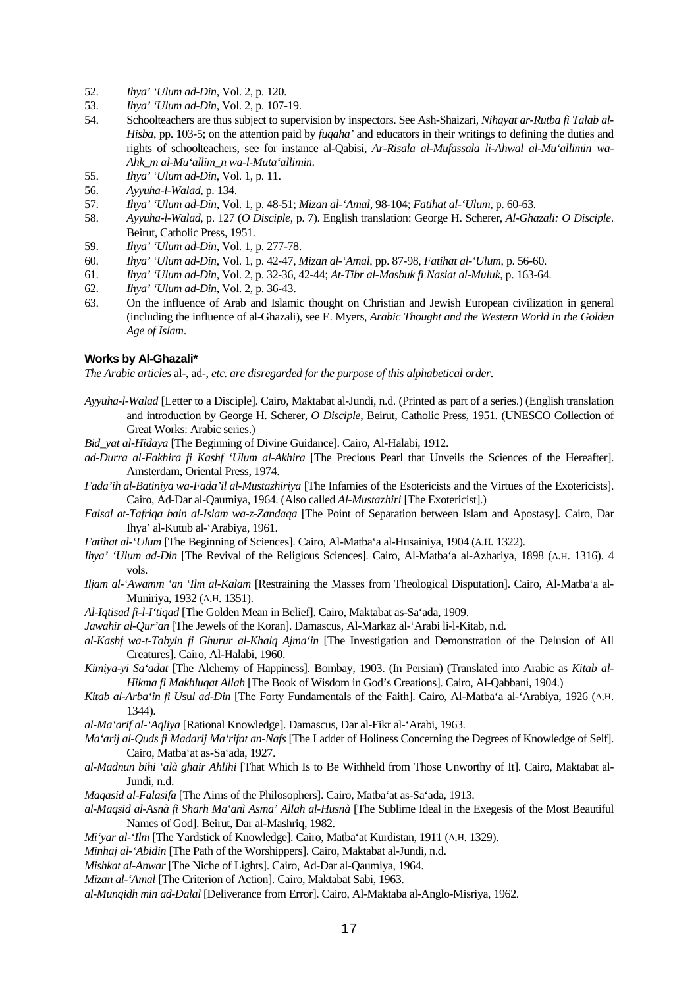- 52. *Ihya' 'Ulum ad-Din*, Vol. 2, p. 120.
- 53. *Ihya' 'Ulum ad-Din*, Vol. 2, p. 107-19.
- 54. Schoolteachers are thus subject to supervision by inspectors. See Ash-Shaizari, *Nihayat ar-Rutba fi Talab al-Hisba*, pp. 103-5; on the attention paid by *fuqaha'* and educators in their writings to defining the duties and rights of schoolteachers, see for instance al-Qabisi, *Ar-Risala al-Mufassala li-Ahwal al-Mu'allimin wa-Ahk\_m al-Mu'allim\_n wa-l-Muta'allimin*.
- 55. *Ihya' 'Ulum ad-Din*, Vol. 1, p. 11.
- 56. *Ayyuha-l-Walad*, p. 134.
- 57. *Ihya' 'Ulum ad-Din*, Vol. 1, p. 48-51; *Mizan al-'Amal*, 98-104; *Fatihat al-'Ulum*, p. 60-63.
- 58. *Ayyuha-l-Walad*, p. 127 (*O Disciple*, p. 7). English translation: George H. Scherer, *Al-Ghazali: O Disciple*. Beirut, Catholic Press, 1951.
- 59. *Ihya' 'Ulum ad-Din*, Vol. 1, p. 277-78.
- 60. *Ihya' 'Ulum ad-Din*, Vol. 1, p. 42-47, *Mizan al-'Amal*, pp. 87-98, *Fatihat al-'Ulum*, p. 56-60.
- 61. *Ihya' 'Ulum ad-Din*, Vol. 2, p. 32-36, 42-44; *At-Tibr al-Masbuk fi Nasiat al-Muluk*, p. 163-64.
- 62. *Ihya' 'Ulum ad-Din*, Vol. 2, p. 36-43.
- 63. On the influence of Arab and Islamic thought on Christian and Jewish European civilization in general (including the influence of al-Ghazali), see E. Myers, *Arabic Thought and the Western World in the Golden Age of Islam*.

#### **Works by Al-Ghazali\***

*The Arabic articles* al-, ad-, *etc. are disregarded for the purpose of this alphabetical order*.

- *Ayyuha-l-Walad* [Letter to a Disciple]. Cairo, Maktabat al-Jundi, n.d. (Printed as part of a series.) (English translation and introduction by George H. Scherer, *O Disciple*, Beirut, Catholic Press, 1951. (UNESCO Collection of Great Works: Arabic series.)
- *Bid\_yat al-Hidaya* [The Beginning of Divine Guidance]. Cairo, Al-Halabi, 1912.
- *ad-Durra al-Fakhira fi Kashf 'Ulum al-Akhira* [The Precious Pearl that Unveils the Sciences of the Hereafter]. Amsterdam, Oriental Press, 1974.
- *Fada'ih al-Batiniya wa-Fada'il al-Mustazhiriya* [The Infamies of the Esotericists and the Virtues of the Exotericists]. Cairo, Ad-Dar al-Qaumiya, 1964. (Also called *Al-Musta*z*hiri* [The Exotericist].)
- *Faisal at-Tafriqa bain al-Islam wa-z-Zandaqa* [The Point of Separation between Islam and Apostasy]. Cairo, Dar Ihya' al-Kutub al-'Arabiya, 1961.
- *Fatihat al-'Ulum* [The Beginning of Sciences]. Cairo, Al-Matba'a al-Husainiya, 1904 (A.H. 1322).
- *Ihya' 'Ulum ad-Din* [The Revival of the Religious Sciences]. Cairo, Al-Matba'a al-Azhariya, 1898 (A.H. 1316). 4 vols.
- *Iljam al-'Awamm 'an 'Ilm al-Kalam* [Restraining the Masses from Theological Disputation]. Cairo, Al-Matba'a al-Muniriya, 1932 (A.H. 1351).
- *Al-Iqtisad fi-l-I'tiqad* [The Golden Mean in Belief]. Cairo, Maktabat as-Sa'ada, 1909.
- *Jawahir al-Qur'an* [The Jewels of the Koran]. Damascus, Al-Markaz al-'Arabi li-l-Kitab, n.d.
- *al-Kashf wa-t-Tabyin fi Ghurur al-Khalq Ajma'in* [The Investigation and Demonstration of the Delusion of All Creatures]. Cairo, Al-Halabi, 1960.
- *Kimiya-yi Sa'adat* [The Alchemy of Happiness]. Bombay, 1903. (In Persian) (Translated into Arabic as *Kitab al-Hikma fi Makhluqat Allah* [The Book of Wisdom in God's Creations]. Cairo, Al-Qabbani, 1904.)
- *Kitab al-Arba'in fi U*su*l ad-Din* [The Forty Fundamentals of the Faith]. Cairo, Al-Matba'a al-'Arabiya, 1926 (A.H. 1344).
- *al-Ma'arif al-'Aqliya* [Rational Knowledge]. Damascus, Dar al-Fikr al-'Arabi, 1963.
- *Ma'arij al-Quds fi Madarij Ma'rifat an-Nafs* [The Ladder of Holiness Concerning the Degrees of Knowledge of Self]. Cairo, Matba'at as-Sa'ada, 1927.
- *al-Madnun bihi 'alà ghair Ahlihi* [That Which Is to Be Withheld from Those Unworthy of It]. Cairo, Maktabat al-Jundi, n.d.
- *Maqasid al-Falasifa* [The Aims of the Philosophers]. Cairo, Matba'at as-Sa'ada, 1913.
- *al-Maqsid al-Asnà fi Sharh Ma'anì Asma' Allah al-Husnà* [The Sublime Ideal in the Exegesis of the Most Beautiful Names of God]. Beirut, Dar al-Mashriq, 1982.
- *Mi'yar al-'Ilm* [The Yardstick of Knowledge]. Cairo, Matba'at Kurdistan, 1911 (A.H. 1329).
- *Minhaj al-'Abidin* [The Path of the Worshippers]. Cairo, Maktabat al-Jundi, n.d.
- *Mishkat al-Anwar* [The Niche of Lights]. Cairo, Ad-Dar al-Qaumiya, 1964.
- *Mizan al-'Amal* [The Criterion of Action]. Cairo, Maktabat Sabi, 1963.
- *al-Munqidh min ad-Dalal* [Deliverance from Error]. Cairo, Al-Maktaba al-Anglo-Misriya, 1962.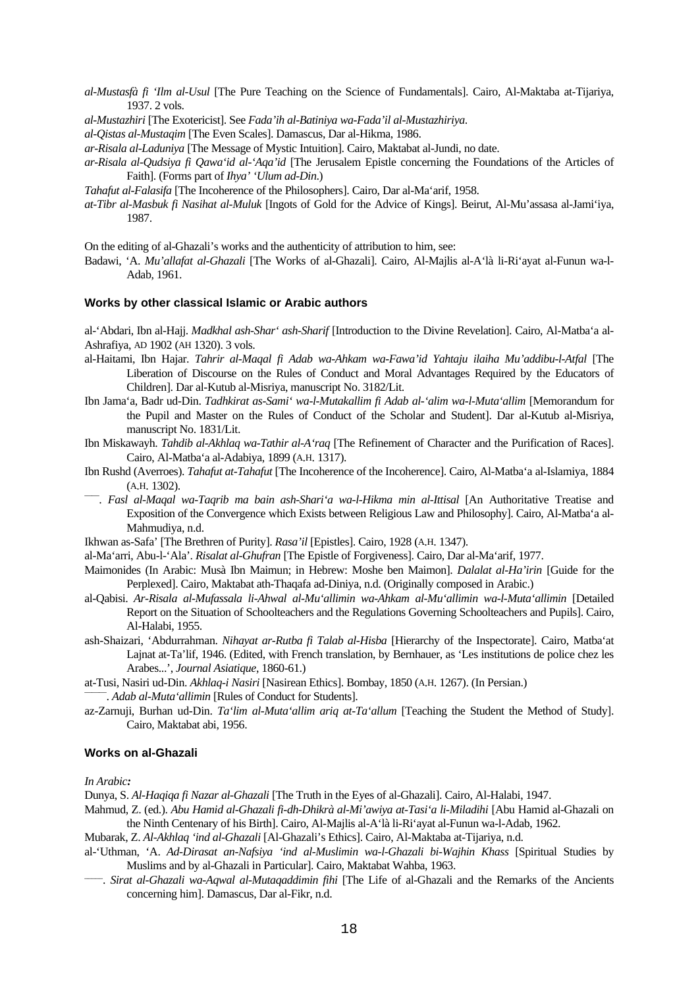- *al-Mustasfà fi 'Ilm al-Usul* [The Pure Teaching on the Science of Fundamentals]. Cairo, Al-Maktaba at-Tijariya, 1937. 2 vols.
- *al-Mustazhiri* [The Exotericist]. See *Fada'ih al-Batiniya wa-Fada'il al-Mustazhiriya*.
- *al-Qistas al-Mustaqim* [The Even Scales]. Damascus, Dar al-Hikma, 1986.
- *ar-Risala al-Laduniya* [The Message of Mystic Intuition]. Cairo, Maktabat al-Jundi, no date.
- *ar-Risala al-Qudsiya fi Qawa'id al-'Aqa'id* [The Jerusalem Epistle concerning the Foundations of the Articles of Faith]. (Forms part of *Ihya' 'Ulum ad-Din*.)
- *Tahafut al-Falasifa* [The Incoherence of the Philosophers]. Cairo, Dar al-Ma'arif, 1958.
- *at-Tibr al-Masbuk fi Nasihat al-Muluk* [Ingots of Gold for the Advice of Kings]. Beirut, Al-Mu'assasa al-Jami'iya, 1987.

On the editing of al-Ghazali's works and the authenticity of attribution to him, see:

Badawi, 'A. *Mu'allafat al-Ghazali* [The Works of al-Ghazali]. Cairo, Al-Majlis al-A'là li-Ri'ayat al-Funun wa-l-Adab, 1961.

#### **Works by other classical Islamic or Arabic authors**

al-'Abdari, Ibn al-Hajj. *Madkhal ash-Shar' ash-Sharif* [Introduction to the Divine Revelation]. Cairo, Al-Matba'a al-Ashrafiya, AD 1902 (AH 1320). 3 vols.

- al-Haitami, Ibn Hajar. *Tahrir al-Maqal fi Adab wa-Ahkam wa-Fawa'id Yahtaju ilaiha Mu'addibu-l-Atfal* [The Liberation of Discourse on the Rules of Conduct and Moral Advantages Required by the Educators of Children]. Dar al-Kutub al-Misriya, manuscript No. 3182/Lit.
- Ibn Jama'a, Badr ud-Din. *Tadhkirat as-Sami' wa-l-Mutakallim fi Adab al-'alim wa-l-Muta'allim* [Memorandum for the Pupil and Master on the Rules of Conduct of the Scholar and Student]. Dar al-Kutub al-Misriya, manuscript No. 1831/Lit.
- Ibn Miskawayh. *Tahdib al-Akhlaq wa-Ta*t*hir al-A'raq* [The Refinement of Character and the Purification of Races]. Cairo, Al-Matba'a al-Adabiya, 1899 (A.H. 1317).
- Ibn Rushd (Averroes). *Tahafut at-Tahafut* [The Incoherence of the Incoherence]. Cairo, Al-Matba'a al-Islamiya, 1884 (A.H. 1302).
- <sup>---</sup>. Fasl al-Maqal wa-Taqrib ma bain ash-Shari'a wa-l-Hikma min al-Ittisal [An Authoritative Treatise and Exposition of the Convergence which Exists between Religious Law and Philosophy]. Cairo, Al-Matba'a al-Mahmudiya, n.d.
- Ikhwan as-Safa' [The Brethren of Purity]. *Rasa'il* [Epistles]. Cairo, 1928 (A.H. 1347).
- al-Ma'arri, Abu-l-'Ala'. *Risalat al-Ghufran* [The Epistle of Forgiveness]. Cairo, Dar al-Ma'arif, 1977.
- Maimonides (In Arabic: Musà Ibn Maimun; in Hebrew: Moshe ben Maimon]. *Dalalat al-Ha'irin* [Guide for the Perplexed]. Cairo, Maktabat ath-Thaqafa ad-Diniya, n.d. (Originally composed in Arabic.)
- al-Qabisi. *Ar-Risala al-Mufassala li-Ahwal al-Mu'allimin wa-Ahkam al-Mu'allimin wa-l-Muta'allimin* [Detailed Report on the Situation of Schoolteachers and the Regulations Governing Schoolteachers and Pupils]. Cairo, Al-Halabi, 1955.
- ash-Shaizari, 'Abdurrahman. *Nihayat ar-Rutba fi Talab al-Hisba* [Hierarchy of the Inspectorate]. Cairo, Matba'at Lajnat at-Ta'lif, 1946. (Edited, with French translation, by Bernhauer, as 'Les institutions de police chez les Arabes...', *Journal Asiatique*, 1860-61.)
- at-Tusi, Nasiri ud-Din. *Akhlaq-i Nasiri* [Nasirean Ethics]. Bombay, 1850 (A.H. 1267). (In Persian.) ——— . *Adab al-Muta'allimin* [Rules of Conduct for Students].
- az-Zarnuji, Burhan ud-Din. *Ta'lim al-Muta'allim ariq at-Ta'allum* [Teaching the Student the Method of Study]. Cairo, Maktabat abi, 1956.

#### **Works on al-Ghazali**

*In Arabic:*

Dunya, S. *Al-Haqiqa fi Nazar al-Ghazali* [The Truth in the Eyes of al-Ghazali]. Cairo, Al-Halabi, 1947.

Mahmud, Z. (ed.). *Abu Hamid al-Ghazali fi-dh-Dhikrà al-Mi'awiya at-Tasi'a li-Miladihi* [Abu Hamid al-Ghazali on the Ninth Centenary of his Birth]. Cairo, Al-Majlis al-A'là li-Ri'ayat al-Funun wa-l-Adab, 1962.

Mubarak, Z. *Al-Akhlaq 'ind al-Ghazali* [Al-Ghazali's Ethics]. Cairo, Al-Maktaba at-Tijariya, n.d.

- al-'Uthman, 'A. *Ad-Dirasat an-Nafsiya 'ind al-Muslimin wa-l-Ghazali bi-Wajhin Khass* [Spiritual Studies by Muslims and by al-Ghazali in Particular]. Cairo, Maktabat Wahba, 1963.
- \_\_\_\_\_ . *Sirat al-Ghazali wa-Aqwal al-Mutaqaddimin fihi* [The Life of al-Ghazali and the Remarks of the Ancients concerning him]. Damascus, Dar al-Fikr, n.d.